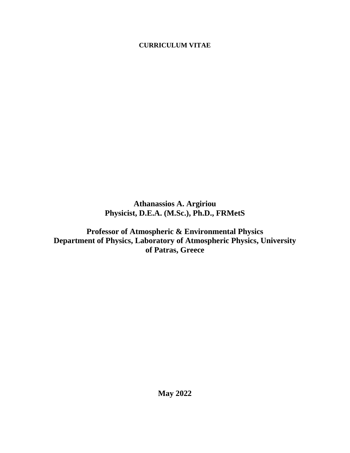# **CURRICULUM VITAE**

**Athanassios A. Argiriou Physicist, D.E.A. (M.Sc.), Ph.D., FRMetS**

**Professor of Atmospheric & Environmental Physics Department of Physics, Laboratory of Atmospheric Physics, University of Patras, Greece**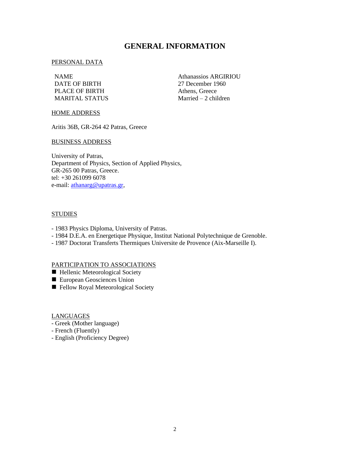# **GENERAL INFORMATION**

#### PERSONAL DATA

DATE OF BIRTH 27 December 1960 PLACE OF BIRTH Athens, Greece MARITAL STATUS Married – 2 children

NAME Athanassios ARGIRIOU

#### HOME ADDRESS

Aritis 36B, GR-264 42 Patras, Greece

### BUSINESS ADDRESS

University of Patras, Department of Physics, Section of Applied Physics, GR-265 00 Patras, Greece. tel: +30 261099 6078 e-mail: [athanarg@upatras.gr,](mailto:athanarg@upatras.gr)

### **STUDIES**

- 1983 Physics Diploma, University of Patras.
- 1984 D.E.A. en Energetique Physique, Institut National Polytechnique de Grenoble.
- 1987 Doctorat Transferts Thermiques Universite de Provence (Aix-Marseille I).

#### PARTICIPATION TO ASSOCIATIONS

- Hellenic Meteorological Society
- European Geosciences Union
- Fellow Royal Meteorological Society

#### LANGUAGES

- Greek (Mother language)
- French (Fluently)
- English (Proficiency Degree)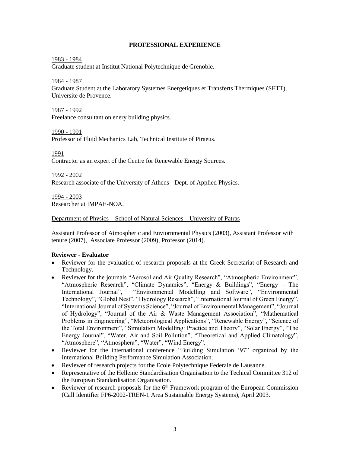### **PROFESSIONAL EXPERIENCE**

### 1983 - 1984

Graduate student at Institut National Polytechnique de Grenoble.

1984 - 1987

Graduate Student at the Laboratory Systemes Energetiques et Transferts Thermiques (SETT), Universite de Provence.

1987 - 1992

Freelance consultant on enery building physics.

1990 - 1991

Professor of Fluid Mechanics Lab, Technical Institute of Piraeus.

1991

Contractor as an expert of the Centre for Renewable Energy Sources.

1992 - 2002 Research associate of the University of Athens - Dept. of Applied Physics.

1994 - 2003 Researcher at IMPAE-NOA.

### Department of Physics – School of Natural Sciences – University of Patras

Assistant Professor of Atmospheric and Enviornmental Physics (2003), Assistant Professor with tenure (2007), Associate Professor (2009), Professor (2014).

### **Reviewer - Evaluator**

- Reviewer for the evaluation of research proposals at the Greek Secretariat of Research and Technology.
- Reviewer for the journals "Aerosol and Air Quality Research", "Atmospheric Environment", "Atmospheric Research", "Climate Dynamics", "Energy & Buildings", "Energy – The International Journal", "Environmental Modelling and Software", "Environmental Technology", "Global Nest", "Hydrology Research", "International Journal of Green Energy", "International Journal of Systems Science", "Journal of Environmental Management", "Journal of Hydrology", "Journal of the Air & Waste Management Association", "Mathematical Problems in Engineering", "Meteorological Applications", "Renewable Energy", "Science of the Total Environment", "Simulation Modelling: Practice and Theory", "Solar Energy", "The Energy Journal", "Water, Air and Soil Pollution", "Theoretical and Applied Climatology", "Atmosphere", "Atmosphera", "Water", "Wind Energy".
- Reviewer for the international conference "Building Simulation '97" organized by the International Building Performance Simulation Association.
- Reviewer of research projects for the Ecole Polytechnique Federale de Lausanne.
- Representative of the Hellenic Standardisation Organisation to the Techical Committee 312 of the European Standardisation Organisation.
- Reviewer of research proposals for the  $6<sup>th</sup>$  Framework program of the European Commission (Call Identifier FP6-2002-TREN-1 Area Sustainable Energy Systems), April 2003.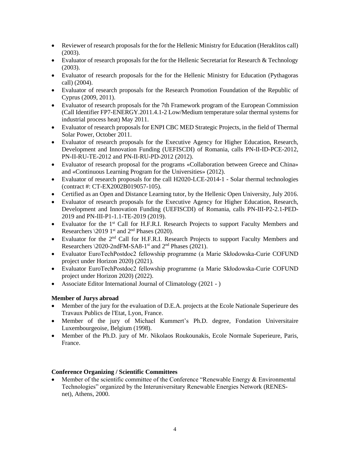- Reviewer of research proposals for the for the Hellenic Ministry for Education (Heraklitos call) (2003).
- Evaluator of research proposals for the for the Hellenic Secretariat for Research & Technology (2003).
- Evaluator of research proposals for the for the Hellenic Ministry for Education (Pythagoras call) (2004).
- Evaluator of research proposals for the Research Promotion Foundation of the Republic of Cyprus (2009, 2011).
- Evaluator of research proposals for the 7th Framework program of the European Commission (Call Identifier FP7-ENERGY.2011.4.1-2 Low/Medium temperature solar thermal systems for industrial process heat) May 2011.
- Evaluator of research proposals for ENPI CBC MED Strategic Projects, in the field of Thermal Solar Power, October 2011.
- Evaluator of research proposals for the Executive Agency for Higher Education, Research, Development and Innovation Funding (UEFISCDI) of Romania, calls PN-II-ID-PCE-2012, PN-II-RU-TE-2012 and PN-II-RU-PD-2012 (2012).
- Evaluator of research proposal for the programs «Collaboration between Greece and China» and «Continuous Learning Program for the Universities» (2012).
- Evaluator of research proposals for the call H2020-LCE-2014-1 Solar thermal technologies (contract #: CT-EX2002B019057-105).
- Certified as an Open and Distance Learning tutor, by the Hellenic Open University, July 2016.
- Evaluator of research proposals for the Executive Agency for Higher Education, Research, Development and Innovation Funding (UEFISCDI) of Romania, calls PN-III-P2-2.1-PED-2019 and PN-III-P1-1.1-TE-2019 (2019).
- Evaluator for the 1<sup>st</sup> Call for H.F.R.I. Research Projects to support Faculty Members and Researchers  $\setminus 2019$  1<sup>st</sup> and 2<sup>nd</sup> Phases (2020).
- Evaluator for the  $2<sup>nd</sup>$  Call for H.F.R.I. Research Projects to support Faculty Members and Researchers  $\langle 2020$ -2ndFM-SA8-1<sup>st</sup> and  $2<sup>nd</sup>$  Phases (2021).
- Evaluator EuroTechPostdoc2 fellowship programme (a Marie Skłodowska-Curie COFUND project under Horizon 2020) (2021).
- Evaluator EuroTechPostdoc2 fellowship programme (a Marie Skłodowska-Curie COFUND project under Horizon 2020) (2022).
- Associate Editor International Journal of Climatology (2021 )

# **Member of Jurys abroad**

- Member of the jury for the evaluation of D.E.A. projects at the Ecole Nationale Superieure des Travaux Publics de l'Etat, Lyon, France.
- Member of the jury of Michael Kummert's Ph.D. degree, Fondation Universitaire Luxembourgeoise, Belgium (1998).
- Member of the Ph.D. jury of Mr. Nikolaos Roukounakis, Ecole Normale Superieure, Paris, France.

### **Conference Organizing / Scientific Committees**

Member of the scientific committee of the Conference "Renewable Energy  $&$  Environmental Technologies" organized by the Interuniversitary Renewable Energies Network (RENESnet), Athens, 2000.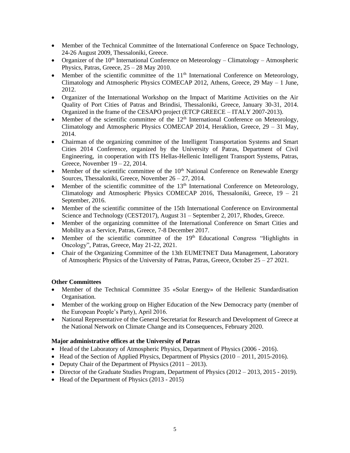- Member of the Technical Committee of the International Conference on Space Technology, 24-26 August 2009, Thessaloniki, Greece.
- Organizer of the  $10<sup>th</sup>$  International Conference on Meteorology Climatology Atmospheric Physics, Patras, Greece,  $25 - 28$  May 2010.
- Member of the scientific committee of the  $11<sup>th</sup>$  International Conference on Meteorology, Climatology and Atmospheric Physics COMECAP 2012, Athens, Greece, 29 May – 1 June, 2012.
- Organizer of the International Workshop on the Impact of Maritime Activities on the Air Quality of Port Cities of Patras and Brindisi, Thessaloniki, Greece, January 30-31, 2014. Organized in the frame of the CESAPO project (ETCP GREECE – ITALY 2007-2013).
- Member of the scientific committee of the  $12<sup>th</sup>$  International Conference on Meteorology, Climatology and Atmospheric Physics COMECAP 2014, Heraklion, Greece,  $29 - 31$  May, 2014.
- Chairman of the organizing committee of the Intelligent Transportation Systems and Smart Cities 2014 Conference, organized by the University of Patras, Department of Civil Engineering, in cooperation with ITS Hellas-Hellenic Intelligent Transport Systems, Patras, Greece, November 19 – 22, 2014.
- Member of the scientific committee of the  $10<sup>th</sup>$  National Conference on Renewable Energy Sources, Thessaloniki, Greece, November 26 – 27, 2014.
- Member of the scientific committee of the  $13<sup>th</sup>$  International Conference on Meteorology, Climatology and Atmospheric Physics COMECAP 2016, Thessaloniki, Greece, 19 – 21 September, 2016.
- Member of the scientific committee of the 15th International Conference on Environmental Science and Technology (CEST2017), August 31 – September 2, 2017, Rhodes, Greece.
- Member of the organizing committee of the International Conference on Smart Cities and Mobility as a Service, Patras, Greece, 7-8 December 2017.
- Member of the scientific committee of the  $19<sup>th</sup>$  Educational Congress "Highlights in Oncology", Patras, Greece, May 21-22, 2021.
- Chair of the Organizing Committee of the 13th EUMETNET Data Management, Laboratory of Atmospheric Physics of the University of Patras, Patras, Greece, October 25 – 27 2021.

# **Other Committees**

- Member of the Technical Committee 35 «Solar Energy» of the Hellenic Standardisation Organisation.
- Member of the working group on Higher Education of the New Democracy party (member of the European People's Party), April 2016.
- National Representative of the General Secretariat for Research and Development of Greece at the National Network on Climate Change and its Consequences, February 2020.

# **Major administrative offices at the University of Patras**

- Head of the Laboratory of Atmospheric Physics, Department of Physics (2006 2016).
- Head of the Section of Applied Physics, Department of Physics  $(2010 2011, 2015 2016)$ .
- Deputy Chair of the Department of Physics (2011 2013).
- Director of the Graduate Studies Program, Department of Physics (2012 2013, 2015 2019).
- Head of the Department of Physics (2013 2015)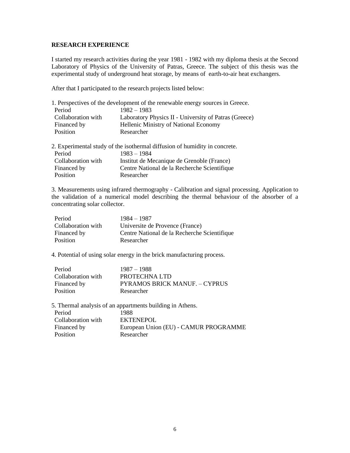### **RESEARCH EXPERIENCE**

I started my research activities during the year 1981 - 1982 with my diploma thesis at the Second Laboratory of Physics of the University of Patras, Greece. The subject of this thesis was the experimental study of underground heat storage, by means of earth-to-air heat exchangers.

After that I participated to the research projects listed below:

|                    | 1. Perspectives of the development of the renewable energy sources in Greece. |
|--------------------|-------------------------------------------------------------------------------|
| Period             | $1982 - 1983$                                                                 |
| Collaboration with | Laboratory Physics II - University of Patras (Greece)                         |
| Financed by        | Hellenic Ministry of National Economy                                         |
| Position           | Researcher                                                                    |
|                    | 2. Experimental study of the isothermal diffusion of humidity in concrete.    |
| Period             | $1983 - 1984$                                                                 |
| Collaboration with | Institut de Mecanique de Grenoble (France)                                    |
| Financed by        | Centre National de la Recherche Scientifique                                  |
| Position           | Researcher                                                                    |

3. Measurements using infrared thermography - Calibration and signal processing. Application to the validation of a numerical model describing the thermal behaviour of the absorber of a concentrating solar collector.

| Period             | 1984 – 1987                                  |
|--------------------|----------------------------------------------|
| Collaboration with | Universite de Provence (France)              |
| Financed by        | Centre National de la Recherche Scientifique |
| Position           | Researcher                                   |
|                    |                                              |

4. Potential of using solar energy in the brick manufacturing process.

| Period             | 1987 – 1988                          |
|--------------------|--------------------------------------|
| Collaboration with | PROTECHNA LTD                        |
| Financed by        | <b>PYRAMOS BRICK MANUE. – CYPRUS</b> |
| Position           | Researcher                           |

5. Thermal analysis of an appartments building in Athens.

| Period             | 1988                                  |
|--------------------|---------------------------------------|
| Collaboration with | <b>EKTENEPOL</b>                      |
| Financed by        | European Union (EU) - CAMUR PROGRAMME |
| Position           | Researcher                            |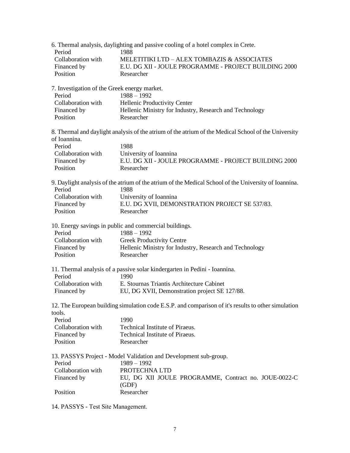| Period                                       | 6. Thermal analysis, daylighting and passive cooling of a hotel complex in Crete.<br>1988             |
|----------------------------------------------|-------------------------------------------------------------------------------------------------------|
| Collaboration with                           | MELETITIKI LTD - ALEX TOMBAZIS & ASSOCIATES                                                           |
| Financed by                                  | E.U. DG XII - JOULE PROGRAMME - PROJECT BUILDING 2000                                                 |
| Position                                     | Researcher                                                                                            |
| 7. Investigation of the Greek energy market. |                                                                                                       |
| Period                                       | $1988 - 1992$                                                                                         |
| Collaboration with                           | Hellenic Productivity Center                                                                          |
| Financed by                                  | Hellenic Ministry for Industry, Research and Technology                                               |
| Position                                     | Researcher                                                                                            |
| of Ioannina.                                 | 8. Thermal and daylight analysis of the atrium of the atrium of the Medical School of the University  |
| Period                                       | 1988                                                                                                  |
| Collaboration with                           | University of Ioannina                                                                                |
| Financed by                                  | E.U. DG XII - JOULE PROGRAMME - PROJECT BUILDING 2000                                                 |
| Position                                     | Researcher                                                                                            |
|                                              | 9. Daylight analysis of the atrium of the atrium of the Medical School of the University of Ioannina. |
| Period                                       | 1988                                                                                                  |
| Collaboration with                           | University of Ioannina                                                                                |
| Financed by<br>Position                      | E.U. DG XVII, DEMONSTRATION PROJECT SE 537/83.<br>Researcher                                          |
|                                              |                                                                                                       |
| Period                                       | 10. Energy savings in public and commercial buildings.<br>$1988 - 1992$                               |
| Collaboration with                           | <b>Greek Productivity Centre</b>                                                                      |
| Financed by                                  | Hellenic Ministry for Industry, Research and Technology                                               |
| Position                                     | Researcher                                                                                            |
| Period                                       | 11. Thermal analysis of a passive solar kindergarten in Pedini - Ioannina.<br>1990                    |
| Collaboration with                           | E. Stournas Triantis Architecture Cabinet                                                             |
| Financed by                                  | EU, DG XVII, Demonstration project SE 127/88.                                                         |
| tools.                                       | 12. The European building simulation code E.S.P. and comparison of it's results to other simulation   |
| Period                                       | 1990                                                                                                  |
| Collaboration with                           | Technical Institute of Piraeus.                                                                       |
| Financed by                                  | Technical Institute of Piraeus.                                                                       |
| Position                                     | Researcher                                                                                            |
|                                              | 13. PASSYS Project - Model Validation and Development sub-group.                                      |
| Period                                       | $1989 - 1992$                                                                                         |
| Collaboration with                           | PROTECHNA LTD                                                                                         |
| Financed by                                  | EU, DG XII JOULE PROGRAMME, Contract no. JOUE-0022-C                                                  |
| Position                                     | (GDF)<br>Researcher                                                                                   |
|                                              |                                                                                                       |

14. PASSYS - Τest Site Management.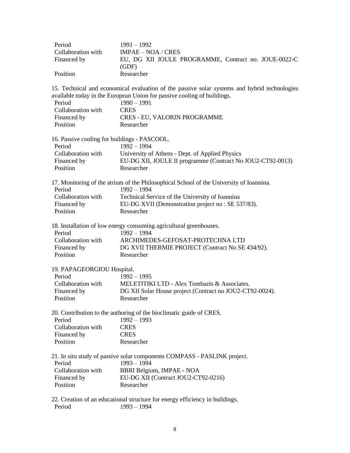| Period             | $1991 - 1992$                                        |
|--------------------|------------------------------------------------------|
| Collaboration with | $IMPAE - NOA / CRES$                                 |
| Financed by        | EU, DG XII JOULE PROGRAMME, Contract no. JOUE-0022-C |
|                    | (GDF)                                                |
| Position           | Researcher                                           |

15. Technical and economical evaluation of the passive solar systems and hybrid technologies available today in the European Union for passive cooling of buildings.

| Period             | $1990 - 1991$                       |
|--------------------|-------------------------------------|
| Collaboration with | <b>CRES</b>                         |
| Financed by        | <b>CRES - EU, VALORIN PROGRAMME</b> |
| <b>Position</b>    | Researcher                          |

| 16. Passive cooling for buildings - PASCOOL. |                                                            |  |
|----------------------------------------------|------------------------------------------------------------|--|
| Period                                       | 1992 – 1994                                                |  |
| Collaboration with                           | University of Athens - Dept. of Applied Physics            |  |
| Financed by                                  | EU-DG XII, JOULE II programme (Contract No JOU2-CT92-0013) |  |
| <b>Position</b>                              | Researcher                                                 |  |

17. Monitoring of the atrium of the Philosophical School of the University of Ioannina. Period 1992 – 1994 Collaboration with Technical Service of the University of Ioannina Financed by EU-DG XVII (Demonstration project no : SE 537/83). Position Researcher

|                    | 18. Installation of low energy consuming agricultural greenhouses. |
|--------------------|--------------------------------------------------------------------|
| Period             | $1992 - 1994$                                                      |
| Collaboration with | ARCHIMEDES-GEFOSAT-PROTECHNA LTD                                   |
| Financed by        | DG XVII THERMIE PROJECT (Contract No SE 434/92).                   |
| Position           | Researcher                                                         |

| 19. PAPAGEORGIOU Hospital. |                                                          |  |
|----------------------------|----------------------------------------------------------|--|
| Period                     | $1992 - 1995$                                            |  |
| Collaboration with         | MELETITIKI LTD - Alex Tombazis & Associates.             |  |
| Financed by                | DG XII Solar House project (Contract no JOU2-CT92-0024). |  |
| Position                   | Researcher                                               |  |

### 20. Contribution to the authoring of the bioclimatic guide of CRES. Period 1992 – 1993 Collaboration with CRES Financed by CRES<br>Position Resear Researcher

|                    | 21. In situ study of passive solar components COMPASS - PASLINK project. |
|--------------------|--------------------------------------------------------------------------|
| Period             | 1993 – 1994                                                              |
| Collaboration with | BBRI Belgium, IMPAE - NOA                                                |
| Financed by        | EU-DG XII (Contract JOU2-CT92-0216)                                      |
| <b>Position</b>    | Researcher                                                               |

22. Creation of an educational structure for energy efficiency in buildings. Period 1993 – 1994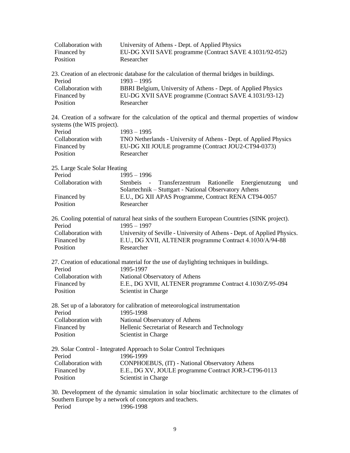| Collaboration with | University of Athens - Dept. of Applied Physics         |
|--------------------|---------------------------------------------------------|
| Financed by        | EU-DG XVII SAVE programme (Contract SAVE 4.1031/92-052) |
| Position           | Researcher                                              |

| 23. Creation of an electronic database for the calculation of thermal bridges in buildings. |                                                               |  |
|---------------------------------------------------------------------------------------------|---------------------------------------------------------------|--|
| Period                                                                                      | $1993 - 1995$                                                 |  |
| Collaboration with                                                                          | BBRI Belgium, University of Athens - Dept. of Applied Physics |  |
| Financed by                                                                                 | EU-DG XVII SAVE programme (Contract SAVE 4.1031/93-12)        |  |
| Position                                                                                    | Researcher                                                    |  |

24. Creation of a software for the calculation of the optical and thermal properties of window systems (the WIS project).

| Period             | $1993 - 1995$                                                     |
|--------------------|-------------------------------------------------------------------|
| Collaboration with | TNO Netherlands - University of Athens - Dept. of Applied Physics |
| Financed by        | EU-DG XII JOULE programme (Contract JOU2-CT94-0373)               |
| Position           | Researcher                                                        |

25. Large Scale Solar Heating

| Period             | $1995 - 1996$                                               |  |
|--------------------|-------------------------------------------------------------|--|
| Collaboration with | Stenbeis - Transferzentrum Rationelle Energienutzung<br>und |  |
|                    | Solartechnik – Stuttgart - National Observatory Athens      |  |
| Financed by        | E.U., DG XII APAS Programme, Contract RENA CT94-0057        |  |
| Position           | Researcher                                                  |  |
|                    |                                                             |  |

| 26. Cooling potential of natural heat sinks of the southern European Countries (SINK project). |                                                                          |  |
|------------------------------------------------------------------------------------------------|--------------------------------------------------------------------------|--|
| Period                                                                                         | $1995 - 1997$                                                            |  |
| Collaboration with                                                                             | University of Seville - University of Athens - Dept. of Applied Physics. |  |
|                                                                                                |                                                                          |  |

| Financed by | E.U., DG XVII, ALTENER programme Contract 4.1030/A/94-88 |
|-------------|----------------------------------------------------------|
| Position    | Researcher                                               |

| 27. Creation of educational material for the use of daylighting techniques in buildings. |                                                           |  |
|------------------------------------------------------------------------------------------|-----------------------------------------------------------|--|
| Period                                                                                   | 1995-1997                                                 |  |
| Collaboration with                                                                       | National Observatory of Athens                            |  |
| Financed by                                                                              | E.E., DG XVII, ALTENER programme Contract 4.1030/Z/95-094 |  |
| Position                                                                                 | Scientist in Charge                                       |  |

| 28. Set up of a laboratory for calibration of meteorological instrumentation |                                                 |  |
|------------------------------------------------------------------------------|-------------------------------------------------|--|
| Period                                                                       | 1995-1998                                       |  |
| Collaboration with                                                           | National Observatory of Athens                  |  |
| Financed by                                                                  | Hellenic Secretariat of Research and Technology |  |
| Position                                                                     | Scientist in Charge                             |  |

| 29. Solar Control - Integrated Approach to Solar Control Techniques |                                                      |  |
|---------------------------------------------------------------------|------------------------------------------------------|--|
| Period                                                              | 1996-1999                                            |  |
| Collaboration with                                                  | CONPHOEBUS, (IT) - National Observatory Athens       |  |
| Financed by                                                         | E.E., DG XV, JOULE programme Contract JOR3-CT96-0113 |  |
| Position                                                            | Scientist in Charge                                  |  |

30. Development of the dynamic simulation in solar bioclimatic architecture to the climates of Southern Europe by a network of conceptors and teachers.<br>Period 1996-1998 1996-1998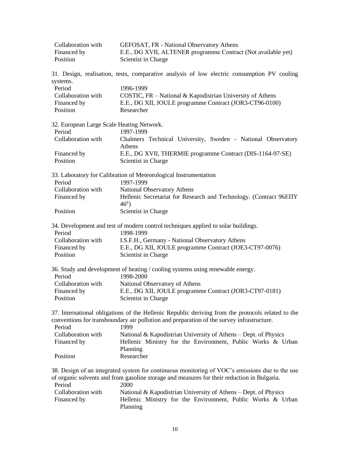| Collaboration with                        | GEFOSAT, FR - National Observatory Athens                                                                            |
|-------------------------------------------|----------------------------------------------------------------------------------------------------------------------|
| Financed by<br>Position                   | E.E., DG XVII, ALTENER programme Contract (Not available yet)<br>Scientist in Charge                                 |
|                                           | 31. Design, realisation, tests, comparative analysis of low electric consumption PV cooling                          |
| systems.                                  |                                                                                                                      |
| Period<br>Collaboration with              | 1996-1999                                                                                                            |
|                                           | COSTIC, FR – National & Kapodistrian University of Athens<br>E.E., DG XII, JOULE programme Contract (JOR3-CT96-0100) |
| Financed by<br>Position                   | Researcher                                                                                                           |
|                                           |                                                                                                                      |
| 32. European Large Scale Heating Network. |                                                                                                                      |
| Period                                    | 1997-1999                                                                                                            |
| Collaboration with                        | Chalmers Technical University, Sweden - National Observatory<br>Athens                                               |
| Financed by                               | E.E., DG XVII, THERMIE programme Contract (DIS-1164-97-SE)                                                           |
| Position                                  | Scientist in Charge                                                                                                  |
|                                           | 33. Laboratory for Calibration of Meteorological Instrumentation                                                     |
| Period                                    | 1997-1999                                                                                                            |
| Collaboration with                        | National Observatory Athens                                                                                          |
| Financed by                               | Hellenic Secretariat for Research and Technology. (Contract 96EITY<br>$46^{\rm E}$ )                                 |
| Position                                  | Scientist in Charge                                                                                                  |
|                                           | 34. Development and test of modern control techniques applied to solar buildings.                                    |
| Period                                    | 1998-1999                                                                                                            |
| Collaboration with                        | I.S.F.H., Germany - National Observatory Athens                                                                      |
| Financed by                               | E.E., DG XII, JOULE programme Contract (JOE3-CT97-0076)                                                              |
| Position                                  | Scientist in Charge                                                                                                  |
|                                           | 36. Study and development of heating / cooling systems using renewable energy.                                       |
| Period                                    | 1998-2000                                                                                                            |
| Collaboration with                        | National Observatory of Athens                                                                                       |
| Financed by                               | E.E., DG XII, JOULE programme Contract (JOR3-CT97-0181)                                                              |
| Position                                  | Scientist in Charge                                                                                                  |
|                                           | 37. International obligations of the Hellenic Republic deriving from the protocols related to the                    |
|                                           | conventions for transboundary air pollution and preparation of the survey infrastructure.                            |
| Period                                    | 1999                                                                                                                 |
| Collaboration with                        | National & Kapodistrian University of Athens – Dept. of Physics                                                      |
| Financed by                               | Hellenic Ministry for the Environment, Public Works & Urban                                                          |
|                                           | Planning                                                                                                             |
| Position                                  | Researcher                                                                                                           |
|                                           | 38. Design of an integrated system for continuous monitoring of VOC's emissions due to the use                       |
|                                           | of organic solvents and from gasoline storage and measures for their reduction in Bulgaria.                          |
| Period                                    | 2000                                                                                                                 |
| Collaboration with                        | National & Kapodistrian University of Athens – Dept. of Physics                                                      |
| Financed by                               | Hellenic Ministry for the Environment, Public Works & Urban                                                          |
|                                           | Planning                                                                                                             |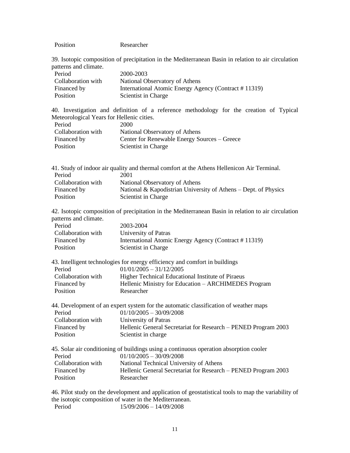| Position<br>Researcher |
|------------------------|
|------------------------|

39. Isotopic composition of precipitation in the Mediterranean Basin in relation to air circulation patterns and climate.

| Period             | 2000-2003                                            |
|--------------------|------------------------------------------------------|
| Collaboration with | National Observatory of Athens                       |
| Financed by        | International Atomic Energy Agency (Contract #11319) |
| Position           | Scientist in Charge                                  |

40. Investigation and definition of a reference methodology for the creation of Typical Meteorological Years for Hellenic cities. Period 2000

| Collaboration with | National Observatory of Athens               |
|--------------------|----------------------------------------------|
| Financed by        | Center for Renewable Energy Sources – Greece |
| Position           | Scientist in Charge                          |

| 41. Study of indoor air quality and thermal comfort at the Athens Hellenicon Air Terminal. |                                                                 |  |
|--------------------------------------------------------------------------------------------|-----------------------------------------------------------------|--|
| Period                                                                                     | 2001                                                            |  |
| Collaboration with                                                                         | National Observatory of Athens                                  |  |
| Financed by                                                                                | National & Kapodistrian University of Athens – Dept. of Physics |  |
| Position                                                                                   | Scientist in Charge                                             |  |

42. Isotopic composition of precipitation in the Mediterranean Basin in relation to air circulation patterns and climate.

| Period             | 2003-2004                                            |
|--------------------|------------------------------------------------------|
| Collaboration with | University of Patras                                 |
| Financed by        | International Atomic Energy Agency (Contract #11319) |
| Position           | Scientist in Charge                                  |

| 43. Intelligent technologies for energy efficiency and comfort in buildings |                                                      |  |
|-----------------------------------------------------------------------------|------------------------------------------------------|--|
| Period                                                                      | $01/01/2005 - 31/12/2005$                            |  |
| Collaboration with                                                          | Higher Technical Educational Institute of Piraeus    |  |
| Financed by                                                                 | Hellenic Ministry for Education – ARCHIMEDES Program |  |
| Position                                                                    | Researcher                                           |  |

|                    | 44. Development of an expert system for the automatic classification of weather maps |
|--------------------|--------------------------------------------------------------------------------------|
| Period             | $01/10/2005 - 30/09/2008$                                                            |
| Collaboration with | University of Patras                                                                 |
| Financed by        | Hellenic General Secretariat for Research – PENED Program 2003                       |
| Position           | Scientist in charge                                                                  |

| 45. Solar air conditioning of buildings using a continuous operation absorption cooler |                                                                |  |
|----------------------------------------------------------------------------------------|----------------------------------------------------------------|--|
| Period                                                                                 | $01/10/2005 - 30/09/2008$                                      |  |
| Collaboration with                                                                     | National Technical University of Athens                        |  |
| Financed by                                                                            | Hellenic General Secretariat for Research – PENED Program 2003 |  |
| Position                                                                               | Researcher                                                     |  |

46. Pilot study on the development and application of geostatistical tools to map the variability of the isotopic composition of water in the Mediterranean.<br>  $15/09/2006 - 14/09/2008$  $15/09/2006 - 14/09/2008$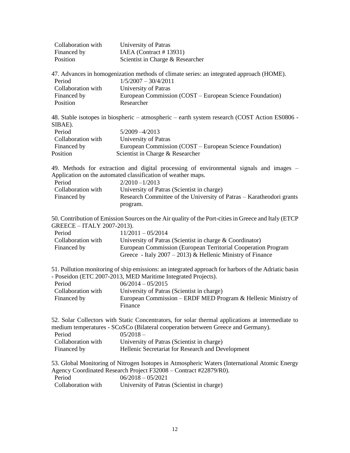| Collaboration with | University of Patras             |
|--------------------|----------------------------------|
| Financed by        | IAEA (Contract # 13931)          |
| Position           | Scientist in Charge & Researcher |

| 47. Advances in homogenization methods of climate series: an integrated approach (HOME). |                                                          |  |
|------------------------------------------------------------------------------------------|----------------------------------------------------------|--|
| Period                                                                                   | $1/5/2007 - 30/4/2011$                                   |  |
| Collaboration with                                                                       | University of Patras                                     |  |
| Financed by                                                                              | European Commission (COST – European Science Foundation) |  |
| Position                                                                                 | Researcher                                               |  |

48. Stable isotopes in biospheric – atmospheric – earth system research (COST Action ES0806 - SIBAE).

| Period             | 5/2009 -4/2013                                           |
|--------------------|----------------------------------------------------------|
| Collaboration with | University of Patras                                     |
| Financed by        | European Commission (COST – European Science Foundation) |
| Position           | Scientist in Charge & Researcher                         |

49. Methods for extraction and digital processing of environmental signals and images – Application on the automated classification of weather maps.

| Period             | $2/2010 - 1/2013$                                                    |
|--------------------|----------------------------------------------------------------------|
| Collaboration with | University of Patras (Scientist in charge)                           |
| Financed by        | Research Committee of the University of Patras – Karatheodori grants |
|                    | program.                                                             |

50. Contribution of Emission Sources on the Air quality of the Port-cities in Greece and Italy (ETCP GREECE – ITALY 2007-2013).

| Period             | $11/2011 - 05/2014$                                           |
|--------------------|---------------------------------------------------------------|
| Collaboration with | University of Patras (Scientist in charge $&$ Coordinator)    |
| Financed by        | European Commission (European Territorial Cooperation Program |
|                    | Greece - Italy $2007 - 2013$ ) & Hellenic Ministry of Finance |

51. Pollution monitoring of ship emissions: an integrated approach for harbors of the Adriatic basin - Poseidon (ETC 2007-2013, MED Maritime Integrated Projects).

| Period             | $06/2014 - 05/2015$                                           |
|--------------------|---------------------------------------------------------------|
| Collaboration with | University of Patras (Scientist in charge)                    |
| Financed by        | European Commission – ERDF MED Program & Hellenic Ministry of |
|                    | Finance                                                       |

52. Solar Collectors with Static Concentrators, for solar thermal applications at intermediate to medium temperatures - SCoSCo (Bilateral cooperation between Greece and Germany).

| Period             | $05/2018 -$                                       |
|--------------------|---------------------------------------------------|
| Collaboration with | University of Patras (Scientist in charge)        |
| Financed by        | Hellenic Secretariat for Research and Development |

53. Global Monitoring of Nitrogen Isotopes in Atmospheric Waters (International Atomic Energy Agency Coordinated Research Project F32008 – Contract #22879/R0).

| Period             | $06/2018 - 05/2021$                        |
|--------------------|--------------------------------------------|
| Collaboration with | University of Patras (Scientist in charge) |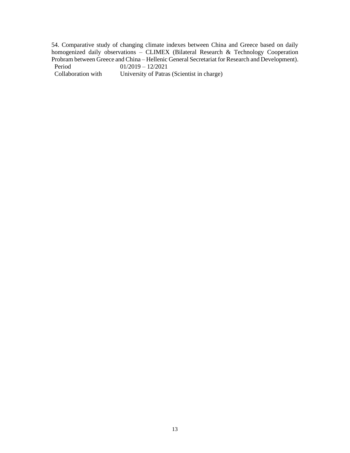54. Comparative study of changing climate indexes between China and Greece based on daily homogenized daily observations – CLIMEX (Bilateral Research & Technology Cooperation Probram between Greece and China – Hellenic General Secretariat for Research and Development).<br>Period  $01/2019 - 12/2021$ 

Period 01/2019 – 12/2021<br>Collaboration with University of Patras

University of Patras (Scientist in charge)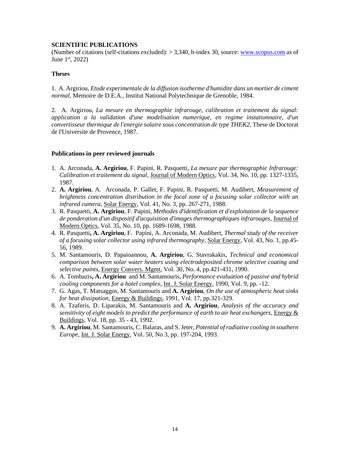### **SCIENTIFIC PUBLICATIONS**

(Number of citations (self-citations excluded): > 3,340, h-index 30, source[: www.scopus.com](http://www.scopus.com/) as of June 1<sup>st</sup>, 2022)

### **Theses**

1. A. Argiriou, *Etude experimentale de la diffusion isotherme d'humidite dans un mortier de ciment normal*, Memoire de D.E.A., Institut National Polytechnique de Grenoble, 1984.

2. A. Argiriou, *La mesure en thermographie infrarouge, calibration et traitement du signal: application a la validation d'une modelisation numerique, en regime instationnaire, d'un convertisseur thermique de l'energie solaire sous concentration de type THEK2*, These de Doctorat de l'Universite de Provence, 1987.

### **Publications in peer reviewed journals**

- 1. A. Arconada, **A. Argiriou**, F. Papini, R. Pasquetti, *La mesure par thermographie Ιnfrarouge: Calibration et traitement du signal*, Journal of Modern Optics, Vol. 34, No. 10, pp. 1327-1335, 1987.
- 2. **A. Argiriou**, A. Arconada, P. Gallet, F. Papini, R. Pasquetti, M. Audibert, *Measurement of brightness concentration distribution in the focal zone of a focusing solar collector with an infrared camera*, Solar Energy, Vol. 41, No. 3, pp. 267-271, 1988.
- 3. R. Pasquetti, **A. Argiriou**, F. Papini, *Methodes d'identification et d'exploitation de la sequence de ponderation d'un dispositif d'acquisition d'images thermographiques infrarouges*, Journal of Modern Optics, Vol. 35, No. 10, pp. 1689-1698, 1988.
- 4. R. Pasquetti**, A. Argiriou**, F. Papini, A. Arconada, M. Audibert, *Thermal study of the receiver of a focusing solar collector using infrared thermography*, Solar Energy, Vol. 43, No. 1, pp.45- 56, 1989.
- 5. M. Santamouris, D. Papaioannou, **A. Argiriou**, G. Stavrakakis, *Technical and economical comparison between solar water heaters using electrodeposited chrome selective coating and selective paints*, Energy Convers. Mgmt, Vol. 30, No. 4, pp.421-431, 1990.
- 6. A. Tombazis**, A. Argiriou** and M. Santamouris, *Performance evaluation of passive and hybrid cooling components for a hotel complex*, Int. J. Solar Energy, 1990, Vol. 9, pp. -12.
- 7. G. Agas, T. Matsaggos, M. Santamouris and **A. Argiriou**, *On the use of atmospheric heat sinks for heat dissipation*, Energy & Buildings, 1991, Vol. 17, pp.321-329.
- 8. A. Tzaferis, D. Liparakis, M. Santamouris and **A. Argiriou**, *Analysis of the accuracy and sensitivity of eight models to predict the performance of earth to air heat exchangers*, Energy & Buildings, Vol. 18, pp. 35 - 43, 1992.
- 9. **A. Argiriou**, M. Santamouris, C. Balaras, and S. Jeter, *Potential of radiative cooling in southern Europe*, Int. J. Solar Energy, Vol. 50, No 3, pp. 197-204, 1993.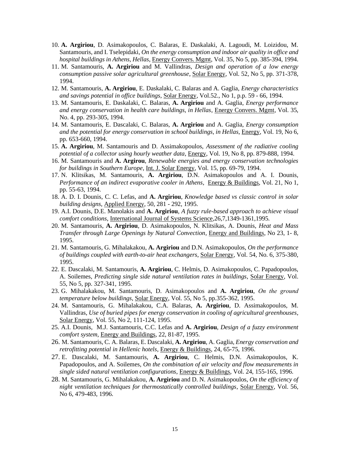- 10. **A. Argiriou**, D. Asimakopoulos, C. Balaras, E. Daskalaki, A. Lagoudi, M. Loizidou, M. Santamouris, and I. Tselepidaki, *On the energy consumption and indoor air quality in office and hospital buildings in Athens, Hellas*, Energy Convers. Mgmt, Vol. 35, No 5, pp. 385-394, 1994.
- 11. M. Santamouris, **A. Argiriou** and M. Vallindras, *Design and operation of a low energy consumption passive solar agricultural greenhouse*, Solar Energy, Vol. 52, No 5, pp. 371-378, 1994.
- 12. M. Santamouris, **A. Argiriou**, E. Daskalaki, C. Balaras and A. Gaglia, *Energy characteristics and savings potential in office buildings*, Solar Energy, Vol.52., No 1, p.p. 59 - 66, 1994.
- 13. M. Santamouris, E. Daskalaki, C. Balaras, **A. Argiriou** and A. Gaglia, *Energy performance and energy conservation in health care buildings, in Hellas*, Energy Convers. Mgmt, Vol. 35, No. 4, pp. 293-305, 1994.
- 14. M. Santamouris, E. Dascalaki, C. Balaras, **A. Argiriou** and A. Gaglia, *Energy consumption and the potential for energy conservation in school buildings, in Hellas*, Energy, Vol. 19, No 6, pp. 653-660, 1994.
- 15. **A. Argiriou**, M. Santamouris and D. Assimakopoulos, *Assessment of the radiative cooling potential of a collector using hourly weather data*, Energy, Vol. 19, No 8, pp. 879-888, 1994.
- 16. M. Santamouris and **A. Argirou**, *Renewable energies and energy conservation technologies for buildings in Southern Europe*, Int. J. Solar Energy, Vol. 15, pp. 69-79, 1994.
- 17. N. Klitsikas, M. Santamouris, **A. Argiriou**, D.N. Asimakopoulos and A. I. Dounis, *Performance of an indirect evaporative cooler in Athens*, Energy & Buildings, Vol. 21, No 1, pp. 55-63, 1994.
- 18. A. D. I. Dounis, C. C. Lefas, and **A. Argiriou**, *Knowledge based vs classic control in solar building designs*, Applied Energy, 50, 281 - 292, 1995.
- 19. A.I. Dounis, D.E. Manolakis and **A. Argiriou**, *A fuzzy rule-based approach to achieve visual comfort conditions*, International Journal of Systems Science,26,7,1349-1361,1995.
- 20. M. Santamouris, **A. Argiriou**, D. Asimakopoulos, N. Klitsikas, A. Dounis, *Heat and Mass Transfer through Large Openings by Natural Convection*, Energy and Buildings, No 23, 1- 8, 1995.
- 21. M. Santamouris, G. Mihalakakou, **A. Argiriou** and D.N. Asimakopoulos, *On the performance of buildings coupled with earth-to-air heat exchangers*, Solar Energy, Vol. 54, No. 6, 375-380, 1995.
- 22. E. Dascalaki, M. Santamouris, **A. Argiriou**, C. Helmis, D. Asimakopoulos, C. Papadopoulos, A. Soilemes, *Predicting single side natural ventilation rates in buildings*, Solar Energy, Vol. 55, No 5, pp. 327-341, 1995.
- 23. G. Mihalakakou, M. Santamouris, D. Asimakopoulos and **A. Argiriou**, *Οn the ground temperature below buildings*, Solar Energy, Vol. 55, No 5, pp.355-362, 1995.
- 24. M. Santamouris, G. Mihalakakou, C.A. Balaras, **A. Argiriou**, D. Assimakopoulos, M. Vallindras, *Use of buried pipes for energy conservation in cooling of agricultural greenhouses*, Solar Energy, Vol. 55, No 2, 111-124, 1995.
- 25. A.I. Dounis, M.J. Santamouris, C.C. Lefas and **A. Argiriou**, *Design of a fuzzy environment comfort system*, Energy and Buildings, 22, 81-87, 1995.
- 26. Μ. Santamouris, C. A. Balaras, E. Dascalaki, **A. Argiriou**, A. Gaglia, *Energy conservation and retrofitting potential in Hellenic hotels*, Energy & Buildings, 24, 65-75, 1996.
- 27. E. Dascalaki, M. Santamouris, **A. Argiriou**, C. Helmis, D.N. Asimakopoulos, K. Papadopoulos, and A. Soilemes, *On the combination of air velocity and flow measurements in single sided natural ventilation configurations*, Energy & Buildings, Vol. 24, 155-165, 1996.
- 28. M. Santamouris, G. Mihalakakou, **A. Argiriou** and D. N. Asimakopoulos, *On the efficiency of night ventilation techniques for thermostatically controlled buildings*, Solar Energy, Vol. 56, No 6, 479-483, 1996.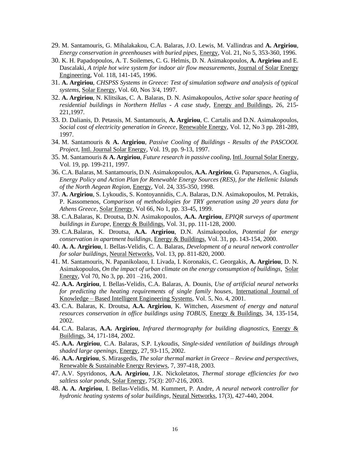- 29. M. Santamouris, G. Mihalakakou, C.A. Balaras, J.O. Lewis, M. Vallindras and **A. Argiriou**, *Energy conservation in greenhouses with buried pipes*, Energy, Vol. 21, No 5, 353-360, 1996.
- 30. K. H. Papadopoulos, A. T. Soilemes, C. G. Helmis, D. N. Asimakopoulos, **A. Argiriou** and E. Dascalaki, *A triple hot wire system for indoor air flow measurements*, Journal of Solar Energy Engineering, Vol. 118, 141-145, 1996.
- 31. **A. Argiriou**, *CHSPSS Systems in Greece: Test of simulation software and analysis of typical systems*, Solar Energy, Vol. 60, Nos 3/4, 1997.
- 32. **A. Argiriou**, N. Klitsikas, C. A. Balaras, D. N. Asimakopoulos, *Active solar space heating of residential buildings in Northern Hellas - A case study*, Energy and Buildings, 26, 215- 221,1997.
- 33. D. Dalianis, D. Petassis, M. Santamouris, **A. Argiriou**, C. Cartalis and D.N. Asimakopoulos, *Social cost of electricity generation in Greece*, Renewable Energy, Vol. 12, No 3 pp. 281-289, 1997.
- 34. M. Santamouris & **A. Argiriou**, *Passive Cooling of Buildings - Results of the PASCOOL Project*, Intl. Journal Solar Energy, Vol. 19, pp. 9-13, 1997.
- 35. M. Santamouris & **A. Argiriou**, *Future research in passive cooling*, Intl. Journal Solar Energy, Vol. 19, pp. 199-211, 1997.
- 36. C.A. Balaras, M. Santamouris, D.N. Asimakopoulos, **A.A. Argiriou**, G. Paparsenos, Α. Gaglia, *Energy Policy and Action Plan for Renewable Energy Sources (RES), for the Hellenic Islands of the North Aegean Region*, Energy, Vol. 24, 335-350, 1998.
- 37. **A. Argiriou**, S. Lykoudis, S. Kontoyannidis, C.Α. Balaras, D.N. Asimakopoulos, M. Petrakis, P. Kassomenos, *Comparison of methodologies for TRY generation using 20 years data for Athens Greece*, Solar Energy, Vol 66, No 1, pp. 33-45, 1999.
- 38. C.A.Balaras, K. Droutsa, D.N. Asimakopoulos, **A.A. Argiriou**, *EPIQR surveys of apartment buildings in Europe*, Energy & Buildings, Vol. 31, pp. 111-128, 2000.
- 39. C.A.Balaras, K. Droutsa, **A.A. Argiriou**, D.N. Asimakopoulos, *Potential for energy conservation in apartment buildings*, Energy & Buildings, Vol. 31, pp. 143-154, 2000.
- 40. **A. A. Argiriou**, I. Bellas-Velidis, C. A. Balaras, *Development of a neural network controller for solar buildings*, Neural Networks, Vol. 13, pp. 811-820, 2000.
- 41. M. Santamouris, N. Papanikolaou, I. Livada, I. Koronakis, C. Georgakis, **A. Argiriou**, D. N. Asimakopoulos, *On the impact of urban climate on the energy consumption of buildings*, Solar Energy, Vol 70, No 3, pp. 201 – 216, 2001.
- 42. **A.A. Argiriou**, I. Bellas-Velidis, C.A. Balaras, A. Dounis, *Use of artificial neural networks for predicting the heating requirements of single family houses*, International Journal of Knowledge – Based Intelligent Engineering Systems, Vol. 5, No. 4, 2001.
- 43. C.A. Balaras, K. Droutsa, **A.A. Argiriou**, K. Wittchen, *Assesment of energy and natural resources conservation in office buildings using TOBUS,* Energy & Buildings, 34, 135-154, 2002.
- 44. C.A. Balaras, **A.A. Argiriou**, *Infrared thermography for building diagnostics,* Energy & Buildings, 34, 171-184, 2002.
- 45. **A.A. Argiriou**, C.A. Balaras, S.P. Lykoudis, *Single-sided ventilation of buildings through shaded large openings,* Energy, 27, 93-115, 2002.
- 46. **A.A. Argiriou**, S. Mirasgedis, *The solar thermal market in Greece – Review and perspectives*, Renewable & Sustainable Energy Reviews, 7, 397-418, 2003.
- 47. A.V. Spyridonos, **A.A. Argiriou**, J.K. Nickoletatos, *Thermal storage efficiencies for two saltless solar ponds*, Solar Energy, 75(3): 207-216, 2003.
- 48. **A. A. Argiriou**, I. Bellas-Velidis, M. Kummert, P. Andre, *A neural network controller for hydronic heating systems of solar buildings*, Neural Networks, 17(3), 427-440, 2004.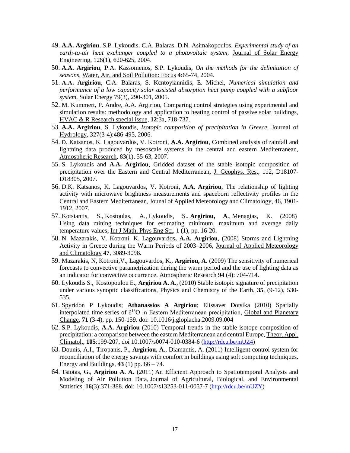- 49. **A.A. Argiriou**, S.P. Lykoudis, C.A. Balaras, D.N. Asimakopoulos, *Experimental study of an earth-to-air heat exchanger coupled to a photovoltaic system,* Journal of Solar Energy Engineering, 126(1), 620-625, 2004.
- 50. **A.A. Argiriou**, **P**.A. Kassomenos, S.P. Lykoudis, *On the methods for the delimitation of seasons*, Water, Air, and Soil Pollution: Focus **4**:65-74, 2004.
- 51. **Α.Α. Argiriou**, C.A. Balaras, S. Kcntoyiannidis, E. Michel, *Numerical simulation and performance of a low capacity solar assisted absorption heat pump coupled with a subfloor system*, Solar Energy 79(3), 290-301, 2005.
- 52. M. Kummert, P. Andre, A.A. Argiriou, Comparing control strategies using experimental and simulation results: methodology and application to heating control of passive solar buildings, HVAC & R Research special issue, **12**:3a, 718-737.
- 53. **A.A. Argiriou**, S. Lykoudis, *Isotopic composition of precipitation in Greece*, Journal of Hydrology, 327(3-4):486-495, 2006.
- 54. D. Katsanos, K. Lagouvardos, V. Kotroni, **A.A. Argiriou**, Combined analysis of rainfall and lightning data produced by mesoscale systems in the central and eastern Mediterranean, Atmospheric Research, 83(1), 55-63, 2007.
- 55. S. Lykoudis and **A.A. Argiriou**, Gridded dataset of the stable isotopic composition of precipitation over the Eastern and Central Mediterranean, J. Geophys. Res., 112, D18107- D18305, 2007.
- 56. D.K. Katsanos, K. Lagouvardos, V. Kotroni, **A.A. Argiriou**, The relationship of lighting activity with microwave brightness measurements and spaceborn reflectivity profiles in the Central and Eastern Mediterranean, Jounal of Applied Meteorology and Climatology, 46, 1901- 1912, 2007.
- 57. Kotsiantis, S., Kostoulas, A., Lykoudis, S., **Argiriou, A**., Menagias, K. (2008) Using data mining techniques for estimating minimum, maximum and average daily temperature values**,** Int J Math, Phys Eng Sci, 1 (1), pp. 16-20.
- 58. N. Mazarakis, V. Kotroni, K. Lagouvardos**, A.A. Argiriou**, (2008) Storms and Lightning Activity in Greece during the Warm Periods of 2003–2006, Journal of Applied Meteorology and Climatology **47**, 3089-3098.
- 59. Mazarakis, N, Kotroni,V., Lagouvardos, K., **Argiriou, A**. (2009) The sensitivity of numerical forecasts to convective parametrization during the warm period and the use of lighting data as an indicator for convective occurrence. Atmospheric Research **94** (4): 704-714.
- 60. Lykoudis S., Kostopoulou E., **Argiriou A. A.**, (2010) Stable isotopic signature of precipitation under various synoptic classifications, Physics and Chemistry of the Earth, **35**, (9-12), 530- 535.
- 61. Spyridon P Lykoudis; **Athanassios A Argiriou**; Elissavet Dotsika (2010) Spatially interpolated time series of  $\delta^{18}O$  in Eastern Mediterranean precipitation, Global and Planetary Change, **71** (3-4), pp. 150-159. doi: 10.1016/j.gloplacha.2009.09.004
- 62. S.P. Lykoudis, **A.A. Argiriou** (2010) Temporal trends in the stable isotope composition of precipitation: a comparison between the eastern Mediterranean and central Europe, Theor. Appl. Climatol., **105**:199-207, doi 10.1007/s0074-010-0384-6 ([http://rdcu.be/mUZ4\)](http://em.rdcu.be/wf/click?upn=KP7O1RED-2BlD0F9LDqGVeSLOWZqmmu5NH89-2BtvAkJihk-3D_REaXrv8VKi1r0CkfRC4TTdpWZD9N68Dczz05bTlo2OsyT-2Fklb-2F70B-2FtcenAXAyzDYniN7s-2FaBe8qJ8LzBr5LtbHrdOoOjKPqrfayJ-2Fb4pJgkqYXhC3NSaJdLmGTgB4vVhZCQ7JkSVA-2FBSciRsxMJLtDld8hCiy9gFjHlB7iKcyEn8dz4zFuIv3bptjhzDDPuefzcfI-2BIxFVx04ZPep0CTg-3D-3D)
- 63. Dounis, A.I., Tiropanis, P., **Argiriou, A**., Diamantis, A. (2011) Intelligent control system for reconciliation of the energy savings with comfort in buildings using soft computing techniques. Energy and Buildings, **43** (1) pp. 66 – 74.
- 64. Tsiotas, G., **Argiriou A. A.** (2011) An Efficient Approach to Spatiotemporal Analysis and Modeling of Air Pollution Data, Journal of Agricultural, Biological, and Environmental Statistics **16**(3):371-388. doi: 10.1007/s13253-011-0057-7 ([http://rdcu.be/mUZY\)](http://em.rdcu.be/wf/click?upn=KP7O1RED-2BlD0F9LDqGVeSLzzBduTz6jqtdX4Vt1jFic-3D_REaXrv8VKi1r0CkfRC4TTdpWZD9N68Dczz05bTlo2OshbjZC1LahTWDQOwD3G9ekJ-2Bf-2Be1a-2FZFDs8Ps2sbrIWDq11mGFbgqLr-2FHOY6GQ6vJgJYlAzSqQQZguw7QPXnUGJdl1KcFdDn6IO3DLNmb8XkQ5gXJ26FXfXvBYv5DdbddFiiDQ-2BOmSCiC-2BJUfAHXDizBMXEJAfwM1bPo831JT6lA-3D-3D)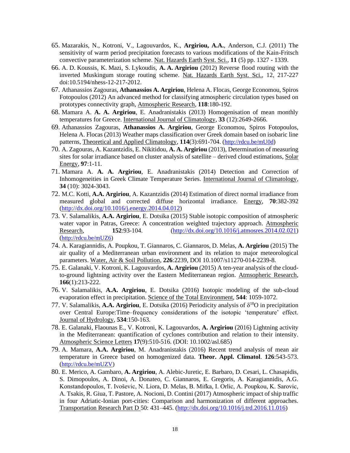- 65. Mazarakis, N., Kotroni, V., Lagouvardos, K., **Argiriou, A.A.**, Anderson, C.J. (2011) The sensitivity of warm period precipitation forecasts to various modifications of the Kain-Fritsch convective parameterization scheme. Nat. Hazards Earth Syst. Sci., **11** (5) pp. 1327 - 1339.
- 66. A. D. Koussis, K. Mazi, S. Lykoudis, **A. A. Argiriou** (2012) Reverse flood routing with the inverted Muskingum storage routing scheme. Nat. Hazards Earth Syst. Sci., 12, 217-227 doi:10.5194/nhess-12-217-2012.
- 67. Athanassios Zagouras, **Athanassios A. Argiriou**, Helena A. Flocas, George Economou, Spiros Fotopoulos (2012) An advanced method for classifying atmospheric circulation types based on prototypes connectivity graph, [Atmospheric Research,](http://www.sciencedirect.com/science/article/pii/S0169809512001901) **118**:180-192.
- 68. Mamara A. **A. A. Argiriou**, E. Anadranistakis (2013) Homogenisation of mean monthly temperatures for Greece. International Journal of Climatology, **33** (12):2649-2666.
- 69. Athanassios Zagouras, **Athanassios A. Argiriou**, George Economou, Spiros Fotopoulos, Helena A. Flocas (2013) Weather maps classification over Greek domain based on isobaric line patterns, Theoretical and Applied Climatology, **114**(3):691-704. ([http://rdcu.be/mU0d](http://em.rdcu.be/wf/click?upn=KP7O1RED-2BlD0F9LDqGVeSIune-2F6720Y2syS79dhtfN0-3D_REaXrv8VKi1r0CkfRC4TTdpWZD9N68Dczz05bTlo2OvvEdNlzhUZfkrQQSE0eY5DCNra80a-2FRUnbfzHY-2FrSlCpEekMlyUOTLsy9iVuT-2BQTEWvUbLI0Ee0-2FD9dbp6TjLu2r8f8VE4sGNWj3VaP6IXRL7ncgr2dHbduCWxoYJxV2VC62UlW1e46b8Mcw0RtVCcVBGhURZfr7Z4NQwEEUS79w-3D-3D))
- 70. A. Zagouras, A. Kazantzidis, E. Nikitidou, **A. A. Argiriou** (2013), Determination of measuring sites for solar irradiance based on cluster analysis of satellite – derived cloud estimations, Solar Energy, **97**:1-11.
- 71. Mamara A. **A. A. Argiriou**, E. Anadranistakis (2014) Detection and Correction of Inhomogeneities in Greek Climate Temperature Series. International Journal of Climatology, **34** (10): 3024-3043.
- 72. M.C. Kotti, **A.A. Argiriou**, A. Kazantzidis (2014) Estimation of direct normal irradiance from measured global and corrected diffuse horizontal irradiance. Energy, **70**:382-392 [\(http://dx.doi.org/10.1016/j.energy.2014.04.012\)](http://dx.doi.org/10.1016/j.energy.2014.04.012)
- 73. V. Salamalikis, **A.A. Argiriou**, E. Dotsika (2015) [Stable isotopic composition of](http://www.scopus.com/record/display.url?eid=2-s2.0-84896409429&origin=resultslist&sort=plf-f&src=s&st1=argiriou&st2=a&nlo=1&nlr=20&nls=count-f&sid=A734BD7E8BD60EB83D45A126D57FCCE8.I0QkgbIjGqqLQ4Nw7dqZ4A%3a83&sot=anl&sdt=aut&sl=44&s=AU-ID%28%22Argiriou%2c+Athanassios+A.%22+7003571545%29&relpos=1&relpos=1&citeCnt=0&searchTerm=AU-ID%28%5C%26quot%3BArgiriou%2C+Athanassios+A.%5C%26quot%3B+7003571545%29) atmospheric [water vapor in Patras, Greece: A concentration weighted trajectory approach.](http://www.scopus.com/record/display.url?eid=2-s2.0-84896409429&origin=resultslist&sort=plf-f&src=s&st1=argiriou&st2=a&nlo=1&nlr=20&nls=count-f&sid=A734BD7E8BD60EB83D45A126D57FCCE8.I0QkgbIjGqqLQ4Nw7dqZ4A%3a83&sot=anl&sdt=aut&sl=44&s=AU-ID%28%22Argiriou%2c+Athanassios+A.%22+7003571545%29&relpos=1&relpos=1&citeCnt=0&searchTerm=AU-ID%28%5C%26quot%3BArgiriou%2C+Athanassios+A.%5C%26quot%3B+7003571545%29) Atmospheric Research, **152**:93-104. [\(http://dx.doi.org/10.1016/j.atmosres.2014.02.021\)](http://dx.doi.org/10.1016/j.atmosres.2014.02.021) ([http://rdcu.be/mUZ6\)](http://em.rdcu.be/wf/click?upn=KP7O1RED-2BlD0F9LDqGVeSI8ntfPp3CjaAM7ZxAVn-2F-2Bw-3D_REaXrv8VKi1r0CkfRC4TTdpWZD9N68Dczz05bTlo2OvWD2EHgLxg-2FWGUd-2F5Dv2N02amlU4OjO08EJPTHrRZtUPWpVjMh8D8plh009iOmX6CBllWta3Vd4aJGjoTEfWvizW0noRF-2ByWIA954bPIQiILB2hcP5MCsAEkL4oH9R9RAQylNkUkcUz6gq3AVZpxH8Kdx1G1nMwZNvmWCwcp13Iw-3D-3D)
- 74. A. Karagiannidis, A. Poupkou, T. Giannaros, C. Giannaros, D. Melas, **A. Argiriou** (2015) The air quality of a Mediterranean urban environment and its relation to major meteorological parameters. Water, Air & Soil Pollution, **226**:2239, DOI 10.1007/s11270-014-2239-8.
- 75. E. Galanaki, V. Kotroni, K. Lagouvardos, **A. Argiriou** (2015) A ten-year analysis of the cloudto-ground lightning activity over the Eastern Mediterranean region. Atmsopheric Research, **166**(1):213-222.
- 76. V. Salamalikis, **A.A. Argiriou**, E. Dotsika (2016) Isotopic modeling of the sub-cloud evaporation effect in precipitation. Science of the Total Environment, **544**: 1059-1072.
- 77. V. Salamalikis, **A.A. Argiriou**, E. Dotsika (2016) Periodicity analysis of  $\delta^{18}O$  in precipitation over Central Europe:Time–frequency considerations of the isotopic 'temperature' effect. Journal of Hydrology, **534**:150-163.
- 78. E. Galanaki, Flaounas E., V. Kotroni, K. Lagouvardos, **A. Argiriou** (2016) Lightning activity in the Mediterranean: quantification of cyclones contribution and relation to their intensity. Atmospheric Science Letters **17**(9):510-516. (DOI: 10.1002/asl.685)
- 79. A. Mamara, **A.A. Argiriou**, M. Anadranistakis (2016) Recent trend analysis of mean air temperature in Greece based on homogenized data. **Theor. Appl. Climatol**. **126**:543-573. ([http://rdcu.be/mUZV\)](http://em.rdcu.be/wf/click?upn=KP7O1RED-2BlD0F9LDqGVeSM1BrVpDVuR-2F4HP5cXygCwc-3D_REaXrv8VKi1r0CkfRC4TTdpWZD9N68Dczz05bTlo2OvI8wqI6jVwBH3nq06FvIBCNbr-2BZN65oFAz1B27Uj8gjxlSbVzeuXRV43gXMshp8Nlj55vUFeB8j1fM9MBwvmjlwwvolRvlSa88m2JbKQkKjjy-2BDjJ7zcwAcGFvr43XXDHiSjZziSVC1SZPwwY8EjA26xaDQ4n1-2FuQqaEj8g2FtKw-3D-3D)
- 80. E. Merico, A. Gambaro, **A. Argiriou**, A. Alebic-Juretic, E. Barbaro, D. Cesari, L. Chasapidis, S. Dimopoulos, A. Dinoi, A. Donateo, C. Giannaros, E. Gregoris, A. Karagiannidis, A.G. Konstandopoulos, T. Ivoševic, N. Liora, D. Melas, B. Mifka, I. Orlic, A. Poupkou, K. Sarovic, A. Tsakis, R. Giua, T. Pastore, A. Nocioni, D. Contini (2017) Atmospheric impact of ship traffic in four Adriatic-Ionian port-cities: Comparison and harmonization of different approaches. Transportation Research Part D 50: 431–445. [\(http://dx.doi.org/10.1016/j.trd.2016.11.016\)](http://dx.doi.org/10.1016/j.trd.2016.11.016)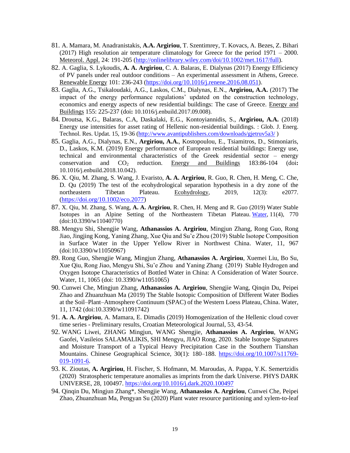- 81. A. Mamara, M. Anadranistakis, **A.A. Argiriou**, T. Szentimrey, T. Kovacs, A. Bezes, Z. Bihari (2017) High resolution air temperature climatology for Greece for the period 1971 – 2000. Meteorol. Appl. 24: 191-205 [\(http://onlinelibrary.wiley.com/doi/10.1002/met.1617/full\)](http://onlinelibrary.wiley.com/doi/10.1002/met.1617/full).
- 82. A. Gaglia, S. Lykoudis, **A. A. Argiriou**, C. A. Balaras, E. Dialynas (2017) Energy Efficiency of PV panels under real outdoor conditions – An experimental assessment in Athens, Greece. Renewable Energy 101: 236-243 [\(https://doi.org/10.1016/j.renene.2016.08.051\)](https://doi.org/10.1016/j.renene.2016.08.051).
- 83. Gaglia, A.G., Tsikaloudaki, A.G., Laskos, C.M., Dialynas, E.N., **Argiriou, A.A.** (2017) The impact of the energy performance regulations' updated on the construction technology, economics and energy aspects of new residential buildings: The case of Greece. Energy and Buildings 155: 225-237 (doi**:** 10.1016/j.enbuild.2017.09.008).
- 84. Droutsa, K.G., Balaras, C.A, Daskalaki, E.G., Kontoyiannidis, S., **Argiriou, A.A.** (2018) Energy use intensities for asset rating of Hellenic non-residential buildings. : Glob. J. Energ. Technol. Res. Updat. 15, 19-36 [\(http://www.avantipublishers.com/downloads/gjetruv5a3/](http://www.avantipublishers.com/downloads/gjetruv5a3/) )
- 85. Gaglia, A.G., Dialynas, E.N., **Argiriou, A.A.**, Kostopoulou, E., Tsiamitros, D., Stimoniaris, D., Laskos, K.M. (2019) Energy performance of European residential buildings: Energy use, technical and environmental characteristics of the Greek residential sector – energy conservation and CO<sup>2</sup> reduction. Energy and Buildings 183:86-104 (doi**:**  10.1016/j.enbuild.2018.10.042).
- 86. X. Qiu, M. Zhang, S. Wang, J. Evaristo, **A. A. Argiriou**, R. Guo, R. Chen, H. Meng, C. Che, D. Qu (2019) The test of the ecohydrological separation hypothesis in a dry zone of the northeastern Tibetan Plateau. Ecohydrology, 2019, 12(3): e2077. [\(https://doi.org/10.1002/eco.2077\)](https://doi.org/10.1002/eco.2077)
- 87. X. Qiu, M. Zhang, S. Wang, **A. A. Argiriou**, R. Chen, H. Meng and R. Guo (2019) Water Stable Isotopes in an Alpine Setting of the Northeastern Tibetan Plateau. [Water,](https://www.mdpi.com/2073-4441/11/4/770/htm) 11(4), 770 (doi:10.3390/w11040770)
- 88. Mengyu Shi, Shengjie Wang, **Athanassios A. Argiriou**, Mingjun Zhang, Rong Guo, Rong Jiao, Jingjing Kong, Yaning Zhang, Xue Qiu and Su'e Zhou (2019) Stable Isotope Composition in Surface Water in the Upper Yellow River in Northwest China. Water, 11, 967 (doi:10.3390/w11050967)
- 89. Rong Guo, Shengjie Wang, Mingjun Zhang, **Athanassios A. Argiriou**, Xuemei Liu, Bo Su, Xue Qiu, Rong Jiao, Mengyu Shi, Su'e Zhou and Yaning Zhang (2019) Stable Hydrogen and Oxygen Isotope Characteristics of Bottled Water in China: A Consideration of Water Source. Water, 11, 1065 (doi: 10.3390/w11051065)
- 90. Cunwei Che, Mingjun Zhang, **Athanassios A. Argiriou**, Shengjie Wang, Qinqin Du, Peipei Zhao and Zhuanzhuan Ma (2019) The Stable Isotopic Composition of Different Water Bodies at the Soil–Plant–Atmosphere Continuum (SPAC) of the Western Loess Plateau, China. Water, 11, 1742 (doi:10.3390/w11091742)
- 91. **A. A. Argiriou**, A. Mamara, E. Dimadis (2019) Homogenization of the Hellenic cloud cover time series - Preliminary results, Croatian Meteorological Journal, 53, 43-54.
- 92. WANG Liwei, ZHANG Mingjun, WANG Shengjie, **Athanassios A. Argiriou**, WANG Gaofei, Vasileios SALAMALIKIS, SHI Mengyu, JIAO Rong, 2020. Stable Isotope Signatures and Moisture Transport of a Typical Heavy Precipitation Case in the Southern Tianshan Mountains. Chinese Geographical Science, 30(1): 180–188. [https://doi.org/10.1007/s11769-](https://doi.org/10.1007/s11769-019-1091-6) [019-1091-6.](https://doi.org/10.1007/s11769-019-1091-6)
- 93. K. Zioutas, **A. Argiriou**, H. Fischer, S. Hofmann, M. Maroudas, A. Pappa, Y.K. Semertzidis (2020) Stratospheric temperature anomalies as imprints from the dark Universe. PHYS DARK UNIVERSE, 28, 100497.<https://doi.org/10.1016/j.dark.2020.100497>
- 94. Qinqin Du, Mingjun Zhang\*, Shengjie Wang, **Athanassios A. Argiriou**, Cunwei Che, Peipei Zhao, Zhuanzhuan Ma, Pengyan Su (2020) Plant water resource partitioning and xylem-to-leaf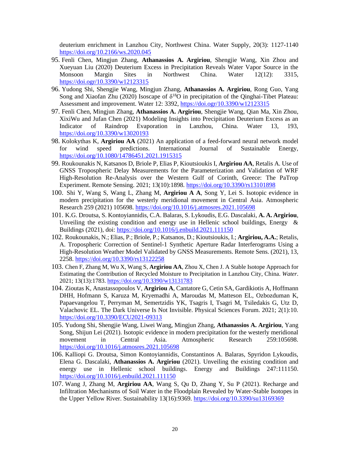deuterium enrichment in Lanzhou City, Northwest China. Water Supply, 20(3): 1127-1140 <https://doi.org/10.2166/ws.2020.045>

- 95. Fenli Chen, Mingjun Zhang, **Athanassios A. Argiriou**, Shengjie Wang, Xin Zhou and Xueyuan Liu (2020) Deuterium Excess in Precipitation Reveals Water Vapor Source in the Monsoon Margin Sites in Northwest China. Water 12(12): 3315, <https://doi.ogr/10.3390/w12123315>
- 96. Yudong Shi, Shengjie Wang, Mingjun Zhang, **Athanassios A. Argiriou**, Rong Guo, Yang Song and Xiaofan Zhu (2020) Isoscape of  $\delta^{18}O$  in precipitation of the Qinghai-Tibet Plateau: Assessment and improvement. Water 12: 3392[, https://doi.ogr/10.3390/w12123315](https://doi.ogr/10.3390/w12123315)
- 97. Fenli Chen, Mingjun Zhang, **Athanassios A. Argiriou**, Shengjie Wang, Qian Ma, Xin Zhou, XixiWu and Jufan Chen (2021) Modeling Insights into Precipitation Deuterium Excess as an Indicator of Raindrop Evaporation in Lanzhou, China. Water 13, 193, <https://doi.org/10.3390/w13020193>
- 98. Kolokythas K, **Argiriou AA** (2021) An application of a feed-forward neural network model for wind speed predictions. International Journal of Sustainable Energy, <https://doi.org/10.1080/14786451.2021.1915315>
- 99. Roukounakis N, Katsanos D, Briole P, Elias P, Kioutsioukis I, **Argiriou AA**, Retalis A. Use of GNSS Tropospheric Delay Measurements for the Parameterization and Validation of WRF High-Resolution Re-Analysis over the Western Gulf of Corinth, Greece: The PaTrop Experiment. Remote Sensing. 2021; 13(10):1898.<https://doi.org/10.3390/rs13101898>
- 100. Shi Y, Wang S, Wang L, Zhang M, **Argiriou A A**, Song Y, Lei S. Isotopic evidence in modern precipitation for the westerly meridional movement in Central Asia. Atmospheric Research 259 (2021) 105698. <https://doi.org/10.1016/j.atmosres.2021.105698>
- 101. K.G. Droutsa, S. Kontoyiannidis, C.A. Balaras, S. Lykoudis, E.G. Dascalaki, **A. A. Argiriou**, Unveiling the existing condition and energy use in Hellenic school buildings, Energy  $\&$ Buildings (2021), doi:<https://doi.org/10.1016/j.enbuild.2021.111150>
- 102. Roukounakis, N.; Elias, P.; Briole, P.; Katsanos, D.; Kioutsioukis, I.; **Argiriou, A.A.**; Retalis, A. Tropospheric Correction of Sentinel-1 Synthetic Aperture Radar Interferograms Using a High-Resolution Weather Model Validated by GNSS Measurements. Remote Sens. (2021), 13, 2258[. https://doi.org/10.3390/rs13122258](https://doi.org/10.3390/rs13122258)
- 103. Chen F, Zhang M, Wu X, Wang S, **Argiriou AA**, Zhou X, Chen J. A Stable Isotope Approach for Estimating the Contribution of Recycled Moisture to Precipitation in Lanzhou City, China. *Water*. 2021; 13(13):1783.<https://doi.org/10.3390/w13131783>
- 104. Zioutas K, Anastassopoulos V, **Argiriou A**, Cantatore G, Cetin SA, Gardikiotis A, Hoffmann DHH, Hofmann S, Karuza M, Kryemadhi A, Maroudas M, Matteson EL, Ozbozduman K, Papaevangelou T, Perryman M, Semertzidis YK, Tsagris I, Tsagri M, Tsiledakis G, Utz D, Valachovic EL. The Dark Universe Is Not Invisible. Physical Sciences Forum. 2021; 2(1):10. <https://doi.org/10.3390/ECU2021-09313>
- 105. Yudong Shi, Shengjie Wang, Liwei Wang, Mingjun Zhang, **Athanassios A. Argiriou**, Yang Song, Shijun Lei (2021). Isotopic evidence in modern precipitation for the westerly meridional movement in Central Asia. Atmospheric Research 259:105698. <https://doi.org/10.1016/j.atmosres.2021.105698>
- 106. Kalliopi G. Droutsa, Simon Kontoyiannidis, Constantinos A. Balaras, Spyridon Lykoudis, Elena G. Dascalaki, **Athanassios A. Argiriou** (2021). Unveiling the existing condition and energy use in Hellenic school buildings. Energy and Buildings 247:111150. <https://doi.org/10.1016/j.enbuild.2021.111150>
- 107. Wang J, Zhang M, **Argiriou AA**, Wang S, Qu D, Zhang Y, Su P (2021). Recharge and Infiltration Mechanisms of Soil Water in the Floodplain Revealed by Water-Stable Isotopes in the Upper Yellow River. Sustainability 13(16):9369.<https://doi.org/10.3390/su13169369>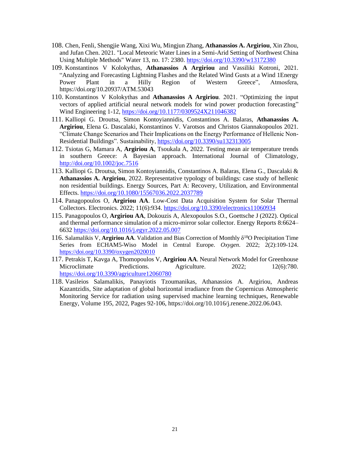- 108. Chen, Fenli, Shengjie Wang, Xixi Wu, Mingjun Zhang, **Athanassios A. Argiriou**, Xin Zhou, and Jufan Chen. 2021. "Local Meteoric Water Lines in a Semi-Arid Setting of Northwest China Using Multiple Methods" Water 13, no. 17: 2380.<https://doi.org/10.3390/w13172380>
- 109. Konstantinos V Kolokythas, **Athanassios A Argiriou** and Vassiliki Kotroni, 2021. "Analyzing and Forecasting Lightning Flashes and the Related Wind Gusts at a Wind 1Energy Power Plant in a Hilly Region of Western Greece", Atmosfera, https://doi.org/10.20937/ATM.53043
- 110. Konstantinos V Kolokythas and **Athanassios A Argiriou**. 2021. "Optimizing the input vectors of applied artificial neural network models for wind power production forecasting" Wind Engineering 1-12,<https://doi.org/10.1177/0309524X211046382>
- 111. Kalliopi G. Droutsa, Simon Kontoyiannidis, Constantinos A. Balaras, **Athanassios A. Argiriou**, Elena G. Dascalaki, Konstantinos V. Varotsos and Christos Giannakopoulos 2021. "Climate Change Scenarios and Their Implications on the Energy Performance of Hellenic Non-Residential Buildings". Sustainability[, https://doi.org/10.3390/su132313005](https://doi.org/10.3390/su132313005)
- 112. Tsiotas G, Mamara A, **Argiriou A**, Tsoukala A, 2022. Testing mean air temperature trends in southern Greece: A Bayesian approach. International Journal of Climatology, <http://doi.org/10.1002/joc.7516>
- 113. Kalliopi G. Droutsa, Simon Kontoyiannidis, Constantinos A. Balaras, Elena G., Dascalaki & **Athanassios A. Argiriou**, 2022. Representative typology of buildings: case study of hellenic non residential buildings. Energy Sources, Part A: Recovery, Utilization, and Environmental Effects. <https://doi.org/10.1080/15567036.2022.2037789>
- 114. Panagopoulos O, **Argiriou AA**. Low-Cost Data Acquisition System for Solar Thermal Collectors. Electronics. 2022; 11(6):934.<https://doi.org/10.3390/electronics11060934>
- 115. Panagopoulos O, **Argiriou AA**, Dokouzis A, Alexopoulos S.O., Goettsche J (2022). Optical and thermal performance simulation of a micro-mirror solar collector. Energy Reports 8:6624– 6632 <https://doi.org/10.1016/j.egyr.2022.05.007>
- 116. Salamalikis V, **Argiriou AA**. Validation and Bias Correction of Monthly δ <sup>18</sup>O Precipitation Time Series from ECHAM5-Wiso Model in Central Europe. *Oxygen*. 2022; 2(2):109-124. <https://doi.org/10.3390/oxygen2020010>
- 117. Petrakis T, Kavga A, Thomopoulos V, **Argiriou AA**. Neural Network Model for Greenhouse Microclimate Predictions. Agriculture. 2022; 12(6):780. <https://doi.org/10.3390/agriculture12060780>
- 118. Vasileios Salamalikis, Panayiotis Tzoumanikas, Athanassios A. Argiriou, Andreas Kazantzidis, Site adaptation of global horizontal irradiance from the Copernicus Atmospheric Monitoring Service for radiation using supervised machine learning techniques, Renewable Energy, Volume 195, 2022, Pages 92-106, https://doi.org/10.1016/j.renene.2022.06.043.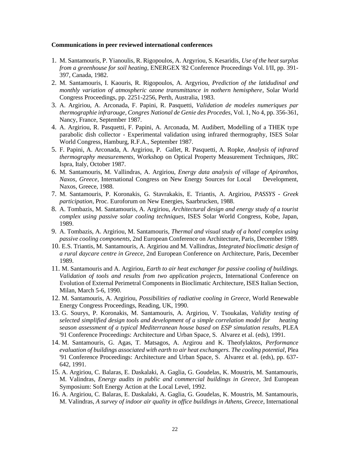#### **Communications in peer reviewed international conferences**

- 1. M. Santamouris, P. Yianoulis, R. Rigopoulos, A. Argyriou, S. Kesaridis, *Use of the heat surplus from a greenhouse for soil heating*, ENERGEX '82 Conference Proceedings Vol. I/II, pp. 391- 397, Canada, 1982.
- 2. M. Santamouris, I. Kaouris, R. Rigopoulos, A. Argyriou, *Prediction of the latidudinal and monthly variation of atmospheric ozone transmittance in nothern hemisphere*, Solar World Congress Proceedings, pp. 2251-2256, Perth, Australia, 1983.
- 3. A. Argiriou, A. Arconada, F. Papini, R. Pasquetti, *Validation de modeles numeriques par thermographie infrarouge, Congres National de Genie des Procedes*, Vol. 1, No 4, pp. 356-361, Nancy, France, September 1987.
- 4. A. Argiriou, R. Pasquetti, F. Papini, A. Arconada, M. Audibert, Modelling of a THEK type parabolic dish collector - Experimental validation using infrared thermography, ISES Solar World Congress, Hamburg, R.F.A., September 1987.
- 5. F. Papini, A. Arconada, A. Argiriou, P. Gallet, R. Pasquetti, A. Ropke, *Analysis of infrared thermography measurements*, Workshop on Optical Property Measurement Techniques, JRC Ispra, Italy, October 1987.
- 6. M. Santamouris, M. Vallindras, A. Argiriou, *Energy data analysis of village of Apiranthos, Naxos, Greece*, International Congress on New Energy Sources for Local Development, Naxos, Greece, 1988.
- 7. M. Santamouris, P. Koronakis, G. Stavrakakis, E. Triantis, A. Argiriou, *PASSYS - Greek participation*, Proc. Euroforum on New Energies, Saarbrucken, 1988.
- 8. A. Tombazis, M. Santamouris, A. Argiriou, *Architectural design and energy study of a tourist complex using passive solar cooling techniques*, ISES Solar World Congress, Kobe, Japan, 1989.
- 9. A. Tombazis, A. Argiriou, M. Santamouris, *Thermal and visual study of a hotel complex using passive cooling components*, 2nd European Conference on Architecture, Paris, December 1989.
- 10. E.S. Triantis, M. Santamouris, A. Argiriou and M. Vallindras, *Integrated bioclimatic design of a rural daycare centre in Greece*, 2nd European Conference on Architecture, Paris, December 1989.
- 11. M. Santamouris and A. Argiriou, *Earth to air heat exchanger for passive cooling of buildings. Validation of tools and results from two application projects*, International Conference on Evolution of External Perimetral Components in Bioclimatic Architecture, ISES Italian Section, Milan, March 5-6, 1990.
- 12. M. Santamouris, A. Argiriou, *Possibilities of radiative cooling in Greece*, World Renewable Energy Congress Proceedings, Reading, UK, 1990.
- 13. G. Sourys, P. Koronakis, M. Santamouris, A. Argiriou, V. Tsoukalas, *Validity testing of selected simplified design tools and development of a simple correlation model for heating season assessment of a typical Mediterranean house based on ESP simulation results*, PLEA '91 Conference Proceedings: Architecture and Urban Space, S. Alvarez et al. (eds), 1991.
- 14. M. Santamouris, G. Agas, T. Matsagos, A. Argirou and K. Theofylaktos, *Performance evaluation of buildings associated with earth to air heat exchangers. The cooling potential*, Plea '91 Conference Proceedings: Architecture and Urban Space, S. Alvarez et al. (eds), pp. 637- 642, 1991.
- 15. A. Argiriou, C. Balaras, E. Daskalaki, A. Gaglia, G. Goudelas, K. Moustris, M. Santamouris, M. Valindras, *Energy audits in public and commercial buildings in Greece*, 3rd European Symposium: Soft Energy Action at the Local Level, 1992.
- 16. A. Argiriou, C. Balaras, E. Daskalaki, A. Gaglia, G. Goudelas, K. Moustris, M. Santamouris, M. Valindras, *A survey of indoor air quality in office buildings in Athens, Greece*, International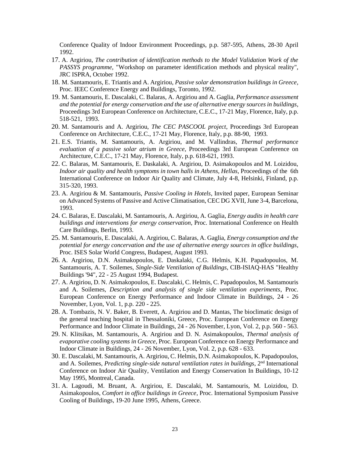Conference Quality of Indoor Environment Proceedings, p.p. 587-595, Athens, 28-30 April 1992.

- 17. A. Argiriou, *The contribution of identification methods to the Model Validation Work of the PASSYS programme,* "Workshop on parameter identification methods and physical reality", JRC ISPRA, October 1992.
- 18. M. Santamouris, E. Triantis and A. Argiriou, *Passive solar demonstration buildings in Greece*, Proc. IEEC Conference Energy and Buildings, Toronto, 1992.
- 19. M. Santamouris, E. Dascalaki, C. Balaras, A. Argiriou and A. Gaglia, *Performance assessment and the potential for energy conservation and the use of alternative energy sources in buildings*, Proceedings 3rd European Conference on Architecture, C.E.C., 17-21 May, Florence, Italy, p.p. 518-521, 1993.
- 20. M. Santamouris and A. Argiriou, *The CEC PASCOOL project*, Proceedings 3rd European Conference on Architecture, C.E.C., 17-21 May, Florence, Italy, p.p. 88-90, 1993.
- 21. E.S. Triantis, M. Santamouris, A. Argiriou, and M. Vallindras, *Thermal performance evaluation of a passive solar atrium in Greece*, Proceedings 3rd European Conference on Architecture, C.E.C., 17-21 May, Florence, Italy, p.p. 618-621, 1993.
- 22. C. Balaras, M. Santamouris, E. Daskalaki, A. Argiriou, D. Asimakopoulos and M. Loizidou, *Indoor air quality and health symptoms in town halls in Athens, Hellas*, Proceedings of the 6th International Conference on Indoor Air Quality and Climate, July 4-8, Helsinki, Finland, p.p. 315-320, 1993.
- 23. A. Argiriou & M. Santamouris, *Passive Cooling in Hotels*, Invited paper, European Seminar on Advanced Systems of Passive and Active Climatisation, CEC DG XVII, June 3-4, Barcelona, 1993.
- 24. C. Balaras, E. Dascalaki, M. Santamouris, A. Argiriou, A. Gaglia, *Energy audits in health care buildings and interventions for energy conservation*, Proc. International Conference on Health Care Buildings, Berlin, 1993.
- 25. M. Santamouris, E. Dascalaki, A. Argiriou, C. Balaras, A. Gaglia, *Energy consumption and the potential for energy concervation and the use of alternative energy sources in office buildings*, Proc. ISES Solar World Congress, Budapest, August 1993.
- 26. A. Argiriou, D.N. Asimakopoulos, E. Daskalaki, C.G. Helmis, K.H. Papadopoulos, M. Santamouris, A. T. Soilemes, *Single-Side Ventilation of Buildings*, CIB-ISIAQ-HAS "Healthy Buildings '94", 22 - 25 August 1994, Budapest.
- 27. A. Argiriou, D. N. Asimakopoulos, E. Dascalaki, C. Helmis, C. Papadopoulos, M. Santamouris and A. Soilemes, *Description and analysis of single side ventilation experiments*, Proc. European Conference on Energy Performance and Indoor Climate in Buildings, 24 - 26 November, Lyon, Vol. 1, p.p. 220 - 225.
- 28. A. Tombazis, N. V. Baker, B. Everett, A. Argiriou and D. Mantas, The bioclimatic design of the general teaching hospital in Thessaloniki, Greece, Proc. European Conference on Energy Performance and Indoor Climate in Buildings, 24 - 26 November, Lyon, Vol. 2, p.p. 560 - 563.
- 29. N. Klitsikas, M. Santamouris, A. Argiriou and D. N. Asimakopoulos, *Thermal analysis of evaporative cooling systems in Greece*, Proc. European Conference on Energy Performance and Indoor Climate in Buildings, 24 - 26 November, Lyon, Vol. 2, p.p. 628 - 633.
- 30. E. Dascalaki, M. Santamouris, A. Argiriou, C. Helmis, D.N. Asimakopoulos, K. Papadopoulos, and A. Soilemes, *Predicting single-side natural ventilation rates in buildings*, 2nd International Conference on Indoor Air Quality, Ventilation and Energy Conservation In Buildings, 10-12 May 1995, Montreal, Canada.
- 31. A. Lagoudi, M. Bruant, A. Argiriou, E. Dascalaki, M. Santamouris, M. Loizidou, D. Asimakopoulos, *Comfort in office buildings in Greece*, Proc. International Symposium Passive Cooling of Buildings, 19-20 June 1995, Athens, Greece.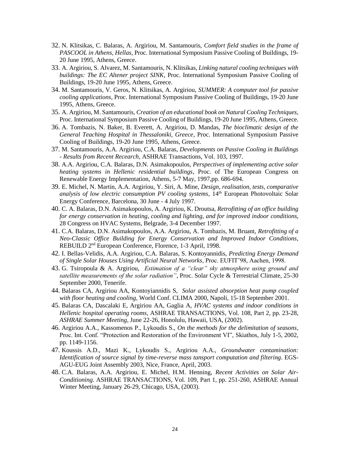- 32. N. Klitsikas, C. Balaras, A. Argiriou, M. Santamouris, *Comfort field studies in the frame of PASCOOL in Athens, Hellas*, Proc. International Symposium Passive Cooling of Buildings, 19- 20 June 1995, Athens, Greece.
- 33. A. Argiriou, S. Alvarez, M. Santamouris, N. Klitsikas, *Linking natural cooling techniques with buildings: The EC Altener project SINK*, Proc. International Symposium Passive Cooling of Buildings, 19-20 June 1995, Athens, Greece.
- 34. M. Santamouris, V. Geros, N. Klitsikas, A. Argiriou, *SUMMER: A computer tool for passive cooling applications*, Proc. International Symposium Passive Cooling of Buildings, 19-20 June 1995, Athens, Greece.
- 35. A. Argiriou, M. Santamouris, *Creation of an educational book on Natural Cooling Techniques*, Proc. International Symposium Passive Cooling of Buildings, 19-20 June 1995, Athens, Greece.
- 36. A. Tombazis, N. Baker, B. Everett, A. Argiriou, D. Mandas, *The bioclimatic design of the General Teaching Hospital in Thessaloniki, Greece*, Proc. International Symposium Passive Cooling of Buildings, 19-20 June 1995, Athens, Greece.
- 37. M. Santamouris, A.A. Argiriou, C.A. Balaras, *Developments on Passive Cooling in Buildings - Results from Recent Recearch*, ASHRAE Transactions, Vol. 103, 1997.
- 38. A.A. Argiriou, C.A. Balaras, D.N. Asimakopoulos, *Perspectives of implementing active solar heating systems in Hellenic residential buildings*, Proc. of The European Congress on Renewable Energy Implementation, Athens, 5-7 May, 1997,pp. 686-694.
- 39. E. Michel, N. Martin, A.A. Argiriou, Y. Siri, A. Mine, *Design, realisation, tests, comparative*  analysis of low electric consumption PV cooling systems, 14<sup>th</sup> European Photovoltaic Solar Energy Conference, Barcelona, 30 June - 4 July 1997.
- 40. C. A. Balaras, D.N. Asimakopoulos, A. Argiriou, K. Droutsa, *Retrofitting of an office building for energy conservation in heating, cooling and lighting, and for improved indoor conditions*, 28 Congress on HVAC Systems, Belgrade, 3-4 December 1997.
- 41. C.A. Balaras, D.N. Asimakopoulos, A.A. Argiriou, A. Tombazis, M. Bruant, *Retrofitting of a Neo-Classic Office Building for Energy Conservation and Improved Indoor Conditions*, REBUILD 2<sup>nd</sup> European Conference, Florence, 1-3 April, 1998.
- 42. I. Bellas-Velidis, A.A. Argiriou, C.A. Balaras, S. Kontoyannidis, *Predicting Energy Demand of Single Solar Houses Using Artificial Neural Networks*, Proc. EUFIT'98, Aachen, 1998.
- 43. G. Tsiropoula & A. Argiriou, *Estimation of a "clear" sky atmosphere using ground and satellite measurements of the solar radiation"*, Proc. Solar Cycle & Terrestrial Climate, 25-30 September 2000, Tenerife.
- 44. Balaras CA, Argiriou AA, Kontoyiannidis S, *Solar assisted absorption heat pump coupled with floor heating and cooling,* World Conf. CLIMA 2000, Napoli, 15-18 September 2001.
- 45. Balaras CA, Dascalaki E, Argiriou AA, Gaglia A, *HVAC systems and indoor conditions in Hellenic hospital operating rooms*, ASHRAE TRANSACTIONS, Vol. 108, Part 2, pp. 23-28, *ASHRAE Summer Meeting*, June 22-26, Honolulu, Hawaii, USA, (2002).
- 46. Argiriou A.A., Kassomenos P., Lykoudis S., *On the methods for the delimitation of seasons*, Proc. Int. Conf. "Protection and Restoration of the Environment VI", Skiathos, July 1-5, 2002, pp. 1149-1156.
- 47. Koussis A.D., Mazi K., Lykoudis S., Argiriou A.A., *Groundwater contamination: Identification of source signal by time-reverse mass tansport computation and filtering*. EGS-AGU-EUG Joint Assembly 2003, Nice, France, April, 2003.
- 48. C.A. Balaras, A.A. Argiriou, E. Michel, H.M. Henning, *Recent Activities on Solar Air-Conditioning*. ASHRAE TRANSACTIONS, Vol. 109, Part 1, pp. 251-260, ASHRAE Annual Winter Meeting, January 26-29, Chicago, USA, (2003).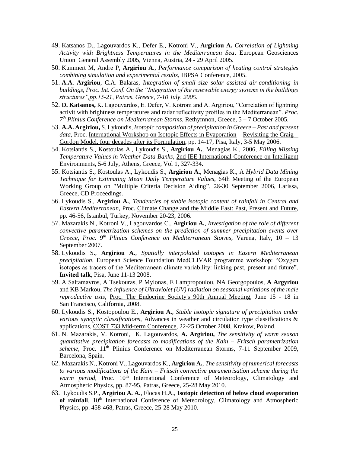- 49. Katsanos D., Lagouvardos K., Defer E., Kotroni V., **Argiriou A.** *Correlation of Lightning Activity with Brightness Temperatures in the Mediterranean Sea*, European Geosciences Union General Assembly 2005, Vienna, Austria, 24 - 29 April 2005.
- 50. Kummert M, Andre P, **Argiriou A**., *Performance comparison of heating control strategies combining simulation and experimental results*, IBPSA Conference, 2005.
- 51. **A.A. Argiriou**, C.A. Balaras, *Integration of small size solar assisted air-conditioning in buildings, Proc. Int. Conf. On the "Integration of the renewable energy systems in the buildings structures",pp.15-21, Patras, Greece, 7-10 July, 2005.*
- 52. **D. Katsanos,** K. Lagouvardos, E. Defer, V. Kotroni and A. Argiriou, "Correlation of lightning activit with brightness temperatures and radar reflectivity profiles in the Mediterranean". *Proc. 7 th Plinius Conference on Mediterranean Storms*, Rethymnon, Greece, 5 – 7 October 2005.
- 53. **A.A. Argiriou,** S. Lykoudis, *Isotopic composition of precipitation in Greece – Past and present data*, Proc. International Workshop on Isotopic Effects in Evaporation – Revisiting the Craig – Gordon Model, four decades after its Formulation, pp. 14-17, Pisa, Italy, 3-5 May 2006.
- 54. Kotsiantis S., Kostoulas A., Lykoudis S., **Argiriou A.**, Menagias K., 2006, *Filling Missing Temperature Values in Weather Data Banks*, 2nd IEE International Conference on Intelligent Environments, 5-6 July, Athens, Greece, Vol 1, 327-334.
- 55. Kotsiantis S., Kostoulas A., Lykoudis S., **Argiriou A.**, Menagias K., A *Hybrid Data Mining Technique for Estimating Mean Daily Temperature Values*, 64th Meeting of the European Working Group on "Multiple Criteria Decision Aiding", 28-30 September 2006, Larissa, Greece, CD Proceedings.
- 56. Lykoudis S., **Argiriou A.**, *Tendencies of stable isotopic content of rainfall in Central and Eastern Mediterranean*, Proc. Climate Change and the Middle East: Past, Present and Future, pp. 46-56, Istanbul, Turkey, November 20-23, 2006.
- 57. Mazarakis N., Kotroni V., Lagouvardos C., **Argiriou A.**, *Investigation of the role of different convective parametrization schemes on the prediction of summer precipitation events over Greece*, *Proc. 9th Plinius Conference on Mediterranean Storms*, Varena, Italy, 10 – 13 September 2007.
- 58. Lykoudis S., **Argiriou A**., *Spatially interpolated isotopes in Easern Mediterranean precipitation*, European Science Foundation MedCLIVAR programme workshop: "Oxygen isotopes as tracers of the Mediterranean climate variability: linking past, present and future". **Invited talk**, Pisa, June 11-13 2008.
- 59. A Saltamavros, A Tsekouras, P Mylonas, E Lampropoulou, NA Georgopoulos, **A Argyriou** and KB Markou, *The influence of Ultraviolet (UV) radiation on seasonal variations of the male reproductive axis*, Proc. The Endocrine Society's 90th Annual Meeting, June 15 - 18 in San Francisco, California, 2008.
- 60. Lykoudis S., Kostopoulou E., **Argiriou A**., *Stable isotopic signature of precipitation under various synoptic classifications*, Advances in weather and circulation type classifications & applications, COST 733 Mid-term Conference, 22-25 October 2008, Krakow, Poland.
- 61. N. Mazarakis, V. Kotroni, K. Lagouvardos, **A. Argiriou,** *The sensitivity of warm season quantitative precipitation forecasts to modifications of the Kain – Fritsch parametrization scheme*, Proc. 11<sup>th</sup> Plinius Conference on Mediterranean Storms, 7-11 September 2009, Barcelona, Spain.
- 62. Mazarakis N., Kotroni V., Lagouvardos K., **Argiriou A.**, *The sensitivity of numerical forecasts to various modifications of the Kain – Fritsch convective parametrisation scheme during the warm period*, Proc. 10<sup>th</sup> International Conference of Meteorology, Climatology and Atmospheric Physics, pp. 87-95, Patras, Greece, 25-28 May 2010.
- 63. Lykoudis S.P., **Argiriou A. A.**, Flocas H.A., **Isotopic detection of below cloud evaporation**  of rainfall,  $10<sup>th</sup>$  International Conference of Meteorology, Climatology and Atmospheric Physics, pp. 458-468, Patras, Greece, 25-28 May 2010.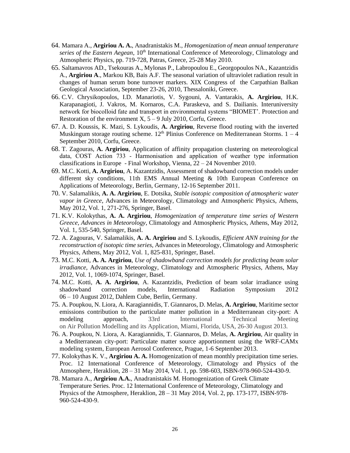- 64. Mamara A., **Argiriou A. A.**, Anadranistakis M., *Homogenization of mean annual temperature*  series of the Eastern Aegean, 10<sup>th</sup> International Conference of Meteorology, Climatology and Atmospheric Physics, pp. 719-728, Patras, Greece, 25-28 May 2010.
- 65. Saltamavros AD., Tsekouras A., Mylonas P., Labropoulou E., Georgopoulos NA., Kazantzidis A., **Argiriou A**., Markou KB, Bais A.F. The seasonal variation of ultraviolet radiation result in changes of human serum bone turnover markers. XIX Congress of the Carpathian Balkan Geological Association, September 23-26, 2010, Thessaloniki, Greece.
- 66. C.V. Chrysikopoulos, I.D. Manariotis, V. Sygouni, A. Vantarakis, **A. Argiriou**, H.K. Karapanagioti, J. Vakros, M. Kornaros, C.A. Paraskeva, and S. Dailianis. Interuniversity network for biocolloid fate and transport in environmental systems "BIOMET'. Protection and Restoration of the environment  $X$ ,  $5 - 9$  July 2010, Corfu, Greece.
- 67. A. D. Koussis, K. Mazi, S. Lykoudis, **A. Argiriou**, Reverse flood routing with the inverted Muskingum storage routing scheme.  $12<sup>th</sup>$  Plinius Conference on Mediterranean Storms.  $1 - 4$ September 2010, Corfu, Greece.
- 68. T. Zagouras, **A. Argiriou**, Application of affinity propagation clustering on meteorological data, COST Action 733 ‐ Harmonisation and application of weather type information classifications in Europe - Final Workshop, Vienna, 22 – 24 November 2010.
- 69. M.C. Kotti, **A. Argiriou**, A. Kazantzidis, Assessment of shadowband correction models under different sky conditions, 11th EMS Annual Meeting & 10th European Conference on Applications of Meteorology, Berlin, Germany, 12-16 September 2011.
- 70. V. Salamalikis, **A. A. Argiriou**, E. Dotsika, *Stable isotopic composition of atmospheric water vapor in Greece*, Advances in Meteorology, Climatology and Atmospheric Physics, Athens, May 2012, Vol. 1, 271-276, Springer, Basel.
- 71. K.V. Kolokythas, **A. A. Argiriou**, *Homogenization of temperature time series of Western Greece, Advances in Meteorology*, Climatology and Atmospheric Physics, Athens, May 2012, Vol. 1, 535-540, Springer, Basel.
- 72. A. Zagouras, V. Salamalikis, **A. A. Argiriou** and S. Lykoudis, *Efficient ANN training for the reconstruction of isotopic time series*, Advances in Meteorology, Climatology and Atmospheric Physics, Athens, May 2012, Vol. 1, 825-831, Springer, Basel.
- 73. M.C. Kotti, **A. A. Argiriou**, *Use of shadowband correction models for predicting beam solar irradiance*, Advances in Meteorology, Climatology and Atmospheric Physics, Athens, May 2012, Vol. 1, 1069-1074, Springer, Basel.
- 74. M.C. Kotti, **A. A. Argiriou**, A. Kazantzidis, Prediction of beam solar irradiance using correction models, International Radiation Symposium 2012 06 – 10 August 2012, Dahlem Cube, Berlin, Germany.
- 75. A. Poupkou, N. Liora, A. Karagiannidis, T. Giannaros, D. Melas, **A. Argiriou**, Maritime sector emissions contribution to the particulate matter pollution in a Mediterranean city-port: A modeling approach, 33rd International Technical Meeting on Air Pollution Modelling and its Application, Miami, Florida, USA, 26-30 August 2013.
- 76. A. Poupkou, N. Liora, A. Karagiannidis, T. Giannaros, D. Melas, **A. Argiriou**, Air quality in a Mediterranean city-port: Particulate matter source apportionment using the WRF-CAMx modeling system, European Aerosol Conference, Prague, 1-6 September 2013.
- 77. Kolokythas K. V., **Argiriou A. A.** Homogenization of mean monthly precipitation time series. Proc. 12 International Conference of Meteorology, Climatology and Physics of the Atmosphere, Heraklion, 28 – 31 May 2014, Vol. 1, pp. 598-603, ISBN-978-960-524-430-9.
- 78. Mamara A., **Argiriou A.A.**, Anadranistakis M. Homogenization of Greek Climate Temperature Series. Proc. 12 International Conference of Meteorology, Climatology and Physics of the Atmosphere, Heraklion, 28 – 31 May 2014, Vol. 2, pp. 173-177, ISBN-978- 960-524-430-9.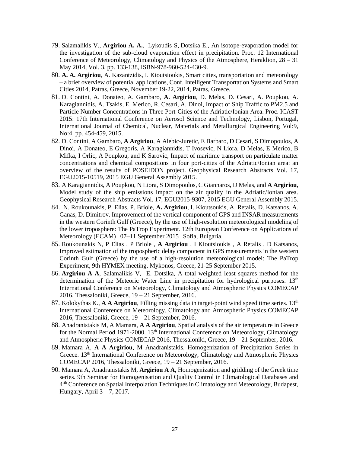- 79. Salamalikis V., **Argiriou A. A.**, Lykoudis S, Dotsika E., An isotope-evaporation model for the investigation of the sub-cloud evaporation effect in precipitation. Proc. 12 International Conference of Meteorology, Climatology and Physics of the Atmosphere, Heraklion, 28 – 31 May 2014, Vol. 3, pp. 133-138, ISBN-978-960-524-430-9.
- 80. **A. A. Argiriou**, A. Kazantzidis, I. Kioutsioukis, Smart cities, transportation and meteorology – a brief overview of potential applications, Conf. Intelligent Transportation Systems and Smart Cities 2014, Patras, Greece, November 19-22, 2014, Patras, Greece.
- 81. D. Contini, A. Donateo, A. Gambaro, **A. Argiriou**, D. Melas, D. Cesari, A. Poupkou, A. Karagiannidis, A. Tsakis, E. Merico, R. Cesari, A. Dinoi, Impact of Ship Traffic to PM2.5 and Particle Number Concentrations in Three Port-Cities of the Adriatic/Ionian Area. Proc. ICAST 2015: 17th International Conference on Aerosol Science and Technology, Lisbon, Portugal, International Journal of Chemical, Nuclear, Materials and Metallurgical Engineering Vol:9, No:4, pp. 454-459, 2015.
- 82. D. Contini, A Gambaro, **A Argiriou**, A Alebic-Juretic, E Barbaro, D Cesari, S Dimopoulos, A Dinoi, A Donateo, E Gregoris, A Karagiannidis, T Ivosevic, N Liora, D Melas, E Merico, B Mifka, I Orlic, A Poupkou, and K Sarovic, Impact of maritime transport on particulate matter concentrations and chemical compositions in four port-cities of the Adriatic/Ionian area: an overview of the results of POSEIDON project. Geophysical Research Abstracts Vol. 17, EGU2015-10519, 2015 EGU General Assembly 2015.
- 83. A Karagiannidis, A Poupkou, N Liora, S Dimopoulos, C Giannaros, D Melas, and **A Argiriou**, Model study of the ship emissions impact on the air quality in the Adriatic/Ionian area. Geophysical Research Abstracts Vol. 17, EGU2015-9307, 2015 EGU General Assembly 2015.
- 84. N. Roukounakis, P. Elias, P. Briole, **A. Argiriou**, I. Kioutsoukis, A. Retalis, D. Katsanos, A. Ganas, D. Dimitrov. Improvement of the vertical component of GPS and INSAR measurements in the western Corinth Gulf (Greece), by the use of high-resolution meteorological modeling of the lower troposphere: The PaTrop Experiment. 12th European Conference on Applications of Meteorology (ECAM) | 07–11 September 2015 | Sofia, Bulgaria.
- 85. Roukounakis N, P Elias , P Briole , **A Argiriou** , I Kioutsioukis , A Retalis , D Katsanos, Improved estimation of the tropospheric delay component in GPS measurements in the western Corinth Gulf (Greece) by the use of a high-resolution meteorological model: The PaTrop Experiment, 9th HYMEX meeting, Mykonos, Greece, 21-25 September 2015.
- 86. **Argiriou A A**, Salamalikis V, E. Dotsika, A total weighted least squares method for the determination of the Meteoric Water Line in precipitation for hydrological purposes.  $13<sup>th</sup>$ International Conference on Meteorology, Climatology and Atmospheric Physics COMECAP 2016, Thessaloniki, Greece, 19 – 21 September, 2016.
- 87. Kolokythas K., **A A Argiriou**, Filling missing data in target-point wind speed time series. 13th International Conference on Meteorology, Climatology and Atmospheric Physics COMECAP 2016, Thessaloniki, Greece, 19 – 21 September, 2016.
- 88. Anadranistakis M, A Mamara, **A A Argiriou**, Spatial analysis of the air temperature in Greece for the Normal Period 1971-2000. 13<sup>th</sup> International Conference on Meteorology, Climatology and Atmospheric Physics COMECAP 2016, Thessaloniki, Greece, 19 – 21 September, 2016.
- 89. Mamara A, **A A Argiriou**, M Anadranistakis, Homogenization of Precipitation Series in Greece. 13<sup>th</sup> International Conference on Meteorology, Climatology and Atmospheric Physics COMECAP 2016, Thessaloniki, Greece, 19 – 21 September, 2016.
- 90. Mamara A, Anadranistakis M, **Argiriou A A**, Homogenization and gridding of the Greek time series. 9th Seminar for Homogenisation and Quality Control in Climatological Databases and 4<sup>rth</sup> Conference on Spatial Interpolation Techniques in Climatology and Meteorology, Budapest, Hungary, April  $3 - 7$ , 2017.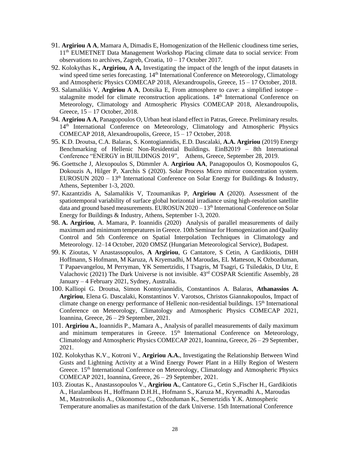- 91. **Argiriou A A**, Mamara A, Dimadis E, Homogenization of the Hellenic cloudiness time series, 11th EUMETNET Data Management Workshop Placing climate data to social service: From observations to archives, Zagreb, Croatia, 10 – 17 October 2017.
- 92. Kolokythas K.**, Argiriou, A A,** Investigating the impact of the length of the input datasets in wind speed time series forecasting. 14<sup>th</sup> International Conference on Meteorology, Climatology and Atmospheric Physics COMECAP 2018, Alexandroupolis, Greece, 15 – 17 October, 2018.
- 93. Salamalikis V, **Argiriou A A**, Dotsika E, From atmosphere to cave: a simplified isotope stalagmite model for climate reconstruction applications. 14<sup>th</sup> International Conference on Meteorology, Climatology and Atmospheric Physics COMECAP 2018, Alexandroupolis, Greece, 15 – 17 October, 2018.
- 94. **Argiriou A A**, Panagopoulos O, Urban heat island effect in Patras, Greece. Preliminary results. 14<sup>th</sup> International Conference on Meteorology, Climatology and Atmospheric Physics COMECAP 2018, Alexandroupolis, Greece, 15 – 17 October, 2018.
- 95. Κ.D. Droutsa, C.A. Balaras, S. Kontogiannidis, E.D. Dascalaki, **A.A. Argiriou** (2019) Energy Benchmarking of Hellenic Non-Residential Buildings. EinB2019 – 8th International Conference "ENERGY in BUILDINGS 2019", Athens, Greece, September 28, 2019.
- 96. Goettsche J, Alexopoulos S, Dümmler A. **Argiriou AA**, Panagopoulos O, Kosmopoulos G, Dokouzis A, Hilger P, Xarchis S (2020). Solar Process Micro mirror concentration system. EUROSUN 2020 – 13<sup>th</sup> International Conference on Solar Energy for Buildings & Industry, Athens, September 1-3, 2020.
- 97. Kazantzidis A, Salamalikis V, Tzoumanikas P, **Argiriou A** (2020). Assessment of the spatiotemporal variability of surface global horizontal irradiance using high-resolution satellite data and ground based measurements. EUROSUN 2020 - 13<sup>th</sup> International Conference on Solar Energy for Buildings & Industry, Athens, September 1-3, 2020.
- 98. **A. Argiriou**, A. Mamara, P. Ioannidis (2020) Analysis of parallel measurements of daily maximum and minimum temperatures in Greece. 10th Seminar for Homogenization and Quality Control and 5th Conference on Spatial Interpolation Techniques in Climatology and Meteorology. 12–14 October, 2020 OMSZ (Hungarian Meteorological Service), Budapest.
- 99. K Zioutas, V Anastassopoulos, **A Argiriou**, G Cantatore, S Cetin, A Gardikiotis, DHH Hoffmann, S Hofmann, M Karuza, A Kryemadhi, M Maroudas, EL Matteson, K Ozbozduman, T Papaevangelou, M Perryman, YK Semertzidis, I Tsagris, M Tsagri, G Tsiledakis, D Utz, E Valachovic (2021) The Dark Universe is not invisible. 43rd COSPAR Scientific Assembly, 28 January – 4 February 2021, Sydney, Australia.
- 100. Kalliopi G. Droutsa, Simon Kontoyiannidis, Constantinos A. Balaras, **Athanassios A. Argiriou**, Elena G. Dascalaki, Konstantinos V. Varotsos, Christos Giannakopoulos, Impact of climate change on energy performance of Hellenic non-residential buildings. 15<sup>th</sup> International Conference on Meteorology, Climatology and Atmospheric Physics COMECAP 2021, Ioannina, Greece, 26 – 29 September, 2021.
- 101. **Argiriou A.**, Ioannidis P., Mamara A., Analysis of parallel measurements of daily maximum and minimum temperatures in Greece. 15<sup>th</sup> International Conference on Meteorology, Climatology and Atmospheric Physics COMECAP 2021, Ioannina, Greece, 26 – 29 September, 2021.
- 102. Kolokythas K.V., Kotroni V., **Argiriou A.A.**, Investigating the Relationship Between Wind Gusts and Lightning Activity at a Wind Energy Power Plant in a Hilly Region of Western Greece. 15<sup>th</sup> International Conference on Meteorology, Climatology and Atmospheric Physics COMECAP 2021, Ioannina, Greece, 26 – 29 September, 2021.
- 103. Zioutas K., Anastassopoulos V., **Argiriou A.**, Cantatore G., Cetin S.,Fischer H., Gardikiotis A., Haralambous H., Hoffmann D.H.H., Hofmann S., Karuza M., Kryemadhi A., Maroudas M., Mastronikolis A., Oikonomou C., Ozbozduman K., Semertzidis Y.K. Atmospheric Temperature anomalies as manifestation of the dark Universe. 15th International Conference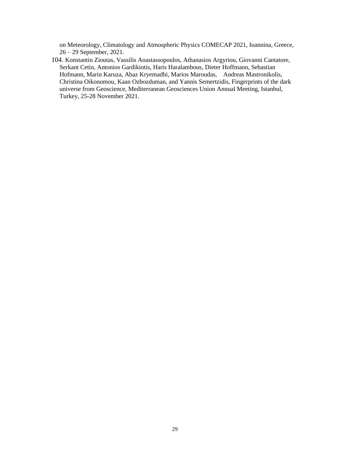on Meteorology, Climatology and Atmospheric Physics COMECAP 2021, Ioannina, Greece, 26 – 29 September, 2021.

104. Konstantin Zioutas, Vassilis Anastassopoulos, Athanasios Argyriou, Giovanni Cantatore, Serkant Cetin, Antonios Gardikiotis, Haris Haralambous, Dieter Hoffmann, Sebastian Hofmann, Marin Karuza, Abaz Kryemadhi, Marios Maroudas, Andreas Mastronikolis, Christina Oikonomou, Kaan Ozbozduman, and Yannis Semertzidis, Fingerprints of the dark universe from Geoscience, Mediterranean Geosciences Union Annual Meeting, Istanbul, Turkey, 25-28 November 2021.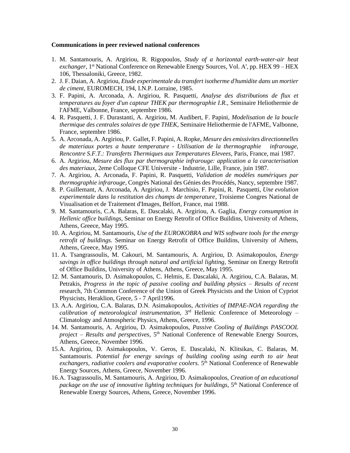#### **Communications in peer reviewed national conferences**

- 1. M. Santamouris, A. Argiriou, R. Rigopoulos, *Study of a horizontal earth-water-air heat*  exchanger, 1<sup>st</sup> National Conference on Renewable Energy Sources, Vol. Α', pp. HEX 99 - HEX 106, Thessaloniki, Greece, 1982.
- 2. J. F. Daian, A. Argiriou, *Etude experimentale du transfert isotherme d'humidite dans un mortier de ciment*, EUROMECH, 194, I.N.P. Lorraine, 1985.
- 3. F. Papini, A. Arconada, A. Argiriou, R. Pasquetti, *Analyse des distributions de flux et temperatures au foyer d'un capteur THEK par thermographie I.R.,* Seminaire Heliothermie de l'AFME, Valbonne, France, septembre 1986.
- 4. R. Pasquetti, J. F. Durastanti, A. Argiriou, M. Audibert, F. Papini, *Modelisation de la boucle thermique des centrales solaires de type THEK*, Seminaire Heliothermie de l'AFME, Valbonne, France, septembre 1986.
- 5. A. Arconada, A. Argiriou, P. Gallet, F. Papini, A. Ropke, *Mesure des emissivites directionnelles de materiaux portes a haute temperature - Utilisation de la thermographie infrarouge, Rencontre S.F.T.: Transferts Thermiques aux Temperatures Elevees*, Paris, France, mai 1987.
- 6. A. Argiriou, *Mesure des flux par thermographie infrarouge: application a la caracterisation des materiaux*, 2eme Colloque CFE Universite - Industrie, Lille, France, juin 1987.
- 7. A. Argiriou, A. Arconada, F. Papini, R. Pasquetti, *Validation de modèles numériques par thermographie infrarouge*, Congrès National des Génies des Procédés, Nancy, septembre 1987.
- 8. P. Guillemant, A. Arconada, A. Argiriou, J. Marchisio, F. Papini, R. Pasquetti, *Une evolution experimentale dans la restitution des champs de temperature*, Troisieme Congres National de Visualisation et de Traitement d'Images, Belfort, France, mai 1988.
- 9. M. Santamouris, C.A. Balaras, E. Dascalaki, A. Argiriou, A. Gaglia, *Energy consumption in Hellenic office buildings,* Seminar on Energy Retrofit of Office Buildins, University of Athens, Athens, Greece, May 1995.
- 10. A. Argiriou, M. Santamouris, *Use of the EUROKOBRA and WIS software tools for the energy retrofit of buildings.* Seminar on Energy Retrofit of Office Buildins, University of Athens, Athens, Greece, May 1995.
- 11. A. Tsangrassoulis, M. Cakouri, M. Santamouris, A. Argiriou, D. Asimakopoulos, *Energy savings in office buildings through natural and artificial lighting,* Seminar on Energy Retrofit of Office Buildins, University of Athens, Athens, Greece, May 1995.
- 12. M. Santamouris, D. Asimakopoulos, C. Helmis, E. Dascalaki, A. Argiriou, C.A. Balaras, M. Petrakis, *Progress in the topic of passive cooling and building physics – Results of recent*  research, 7th Common Conference of the Union of Greek Physicists and the Union of Cypriot Physicists, Heraklion, Grece, 5 - 7 April1996.
- 13. Α.Α. Argiriou, C.Α. Balaras, D.N. Asimakopoulos, *Activities of IMPAE-NOA regarding the*  calibration of meteorological instrumentation, 3<sup>rd</sup> Hellenic Conference of Meteorology -Climatology and Atmospheric Physics, Athens, Greece, 1996.
- 14. M. Santamouris, Α. Argiriou, D. Asimakopoulos, *Passive Cooling of Buildings PASCOOL project – Results and perspectives*, 5th National Conference of Renewable Energy Sources, Athens, Greece, November 1996.
- 15.A. Argiriou, D. Asimakopoulos, V. Geros, E. Dascalaki, N. Klitsikas, C. Balaras, M. Santamouris. *Potential for energy savings of building cooling using earth to air heat*  exchangers, radiative coolers and evaporative coolers. 5<sup>th</sup> National Conference of Renewable Energy Sources, Athens, Greece, November 1996.
- 16.Α. Tsagrassoulis, M. Santamouris, A. Argiriou, D. Asimakopoulos, *Creation of an educational*  package on the use of innovative lighting techniques for buildings, 5<sup>th</sup> National Conference of Renewable Energy Sources, Athens, Greece, November 1996.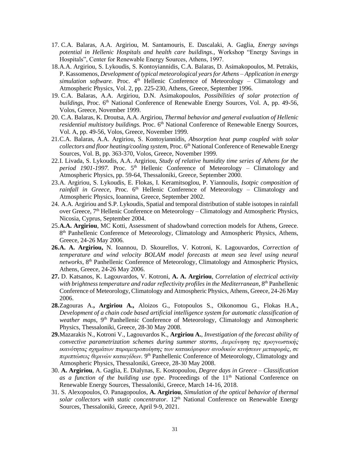- 17. C.A. Balaras, A.A. Argiriou, M. Santamouris, E. Dascalaki, A. Gaglia, *Energy savings potential in Hellenic Hospitals and health care buildings.,* Workshop "Energy Savings in Hospitals", Center for Renewable Energy Sources, Athens, 1997.
- 18.A.A. Argiriou, S. Lykoudis, S. Kontoyiannidis, C.A. Balaras, D. Asimakopoulos, M. Petrakis, P. Kassomenos, *Development of typical meteorological years for Athens – Application in energy*   $simulation$  software. Proc.  $4<sup>th</sup>$  Hellenic Conference of Meteorology – Climatology and Atmospheric Physics, Vol. 2, pp. 225-230, Athens, Greece, September 1996.
- 19. C.A. Balaras, A.A. Argiriou, D.N. Asimakopoulos, *Possibilities of solar protection of buildings*, Proc. 6<sup>th</sup> National Conference of Renewable Energy Sources, Vol. A, pp. 49-56, Volos, Greece, November 1999.
- 20. C.A. Balaras, K. Droutsa, A.A. Argiriou, *Thermal behavior and general evaluation of Hellenic residential multistory buildings.* Proc. 6<sup>th</sup> National Conference of Renewable Energy Sources, Vol. A, pp. 49-56, Volos, Greece, November 1999.
- 21.C.A. Balaras, A.A. Argiriou, S. Kontoyiannidis, *Absorption heat pump coupled with solar collectors and floor heating/cooling system,* Proc. 6th National Conference of Renewable Energy Sources, Vol. B, pp. 363-370, Volos, Greece, November 1999.
- 22.I. Livada, S. Lykoudis, A.A. Argiriou, *Study of relative humidity time series of Athens for the*  period 1901-1997. Proc. 5<sup>th</sup> Hellenic Conference of Meteorology – Climatology and Atmospheric Physics, pp. 59-64, Thessaloniki, Greece, September 2000.
- 23.A. Argiriou, S. Lykoudis, E. Flokas, I. Keramitsoglou, P. Yiannoulis, *Isotpic composition of*  rainfall in Greece, Proc. 6<sup>th</sup> Hellenic Conference of Meteorology – Climatology and Atmospheric Physics, Ioannina, Greece, September 2002.
- 24. A.A. Argiriou and S.P. Lykoudis, Spatial and temporal distribution of stable isotopes in rainfall over Greece,  $7<sup>th</sup>$  Hellenic Conference on Meteorology – Climatology and Atmospheric Physics, Nicosia, Cyprus, September 2004.
- 25.**A.A. Argiriou**, MC Κotti, Assessment of shadowband correction models for Athens, Greece. 8<sup>th</sup> Panhellenic Conference of Meteorology, Climatology and Atmospheric Physics, Athens, Greece, 24-26 May 2006.
- **26.A. A. Argiriou,** N. Ioannou, D. Skourellos, V. Kotroni, K. Lagouvardos, *Correction of temperature and wind velocity BOLAM model forecasts at mean sea level using neural*  networks, 8<sup>th</sup> Panhellenic Conference of Meteorology, Climatology and Atmospheric Physics, Athens, Greece, 24-26 May 2006.
- **27.** D. Katsanos, K. Lagouvardos, V. Kotroni, **A. A. Argiriou**, *Correlation of electrical activity*  with brightness temperature and radar reflectivity profiles in the Mediterranean, 8<sup>th</sup> Panhellenic Conference of Meteorology, Climatology and Atmospheric Physics, Athens, Greece, 24-26 May 2006.
- **28.**Zagouras A.**, Argiriou A.,** Aloizos G., Fotopoulos S., Oikonomou G., Flokas H.A., *Development of a chain code based artificial intelligence system for automatic classification of weather maps*, 9th Panhellenic Conference of Meteorology, Climatology and Atmospheric Physics, Thessaloniki, Greece, 28-30 May 2008.
- **29.**Mazarakis N., Kotroni V., Lagouvardos K., **Argiriou A.**, *Investigation of the forecast ability of convective parametrization schemes during summer storms*, *Διερεύνηση της προγνωστικής ικανότητας σχημάτων παραμετροποίησης των κατακόρυφων ανοδικών κινήσεων μεταφοράς, σε περιπτώσεις θερινών καταιγίδων.* 9 th Panhellenic Conference of Meteorology, Climatology and Atmospheric Physics, Thessaloniki, Greece, 28-30 May 2008.
- 30. **A. Argiriou**, A. Gaglia, E. Dialynas, E. Kostopoulou, *Degree days in Greece – Classification*  as a function of the building use type. Proceedings of the 11<sup>th</sup> National Conference on Renewable Energy Sources, Thessaloniki, Greece, March 14-16, 2018.
- 31. S. Alexopoulos, O. Panagopoulos, **A. Argiriou**, *Simulation of the optical behavior of thermal*  solar collectors with static concentrator. 12<sup>th</sup> National Conference on Renewable Energy Sources, Thessaloniki, Greece, April 9-9, 2021.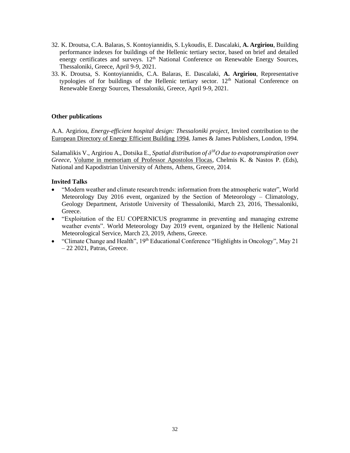- 32. K. Droutsa, C.A. Balaras, S. Kontoyiannidis, S. Lykoudis, E. Dascalaki, **A. Argiriou**, Building performance indexes for buildings of the Hellenic tertiary sector, based on brief and detailed energy certificates and surveys.  $12<sup>th</sup>$  National Conference on Renewable Energy Sources, Thessaloniki, Greece, April 9-9, 2021.
- 33. K. Droutsa, S. Kontoyiannidis, C.A. Balaras, E. Dascalaki, **A. Argiriou**, Representative typologies of for buildings of the Hellenic tertiary sector.  $12<sup>th</sup>$  National Conference on Renewable Energy Sources, Thessaloniki, Greece, April 9-9, 2021.

### **Other publications**

A.A. Argiriou, *Energy-efficient hospital design: Thessaloniki project*, Invited contribution to the European Directory of Energy Efficient Building 1994, James & James Publishers, London, 1994.

Salamalikis V., Argiriou A., Dotsika E., *Spatial distribution of δ <sup>18</sup>Ο due to evapotranspiration over Greece,* Volume in memoriam of Professor Apostolos Flocas, Chelmis K. & Nastos P. (Eds), National and Kapodistrian University of Athens, Athens, Greece, 2014.

### **Invited Talks**

- "Modern weather and climate research trends: information from the atmospheric water", World Meteorology Day 2016 event, organized by the Section of Meteorology – Climatology, Geology Department, Aristotle University of Thessaloniki, March 23, 2016, Thessaloniki, Greece.
- "Exploitation of the EU COPERNICUS programme in preventing and managing extreme weather events". World Meteorology Day 2019 event, organized by the Hellenic National Meteorological Service, March 23, 2019, Athens, Greece.
- "Climate Change and Health",  $19<sup>th</sup>$  Educational Conference "Highlights in Oncology", May 21 – 22 2021, Patras, Greece.